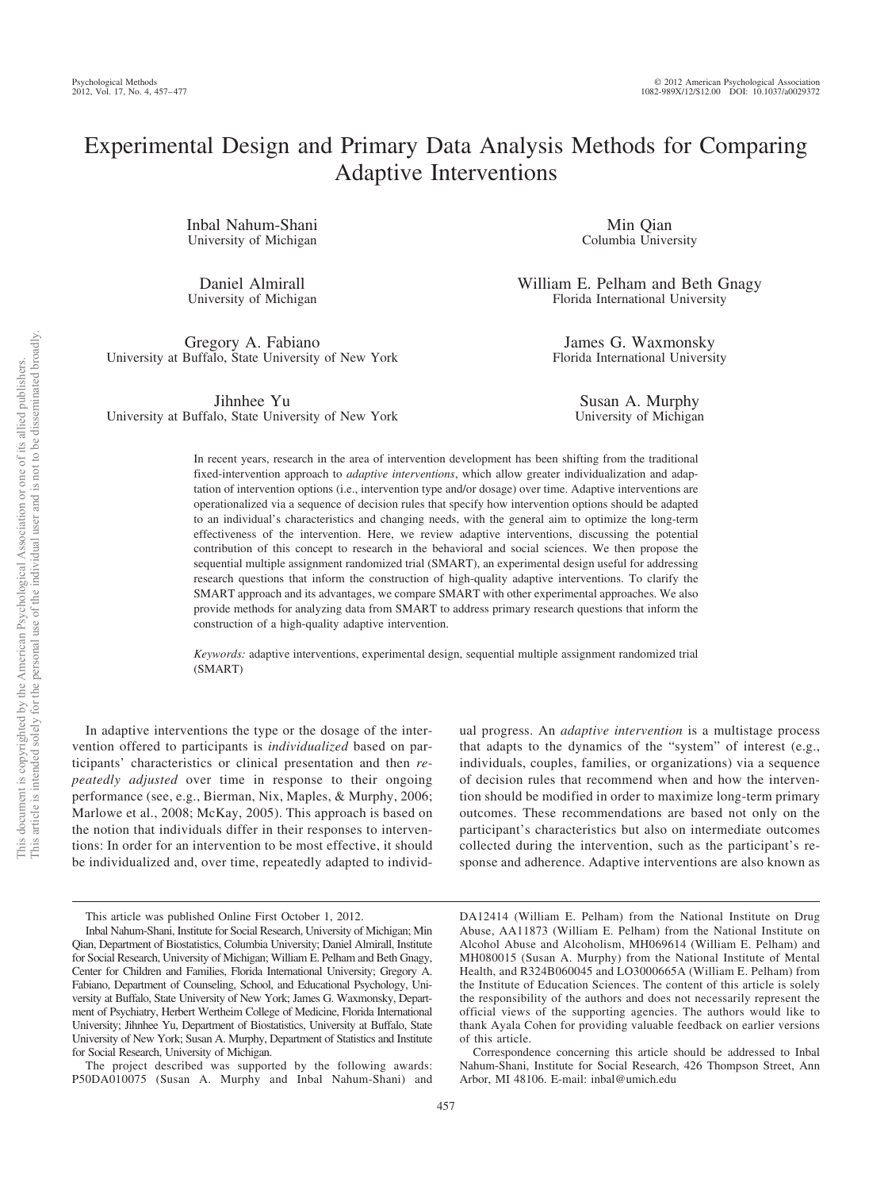# Experimental Design and Primary Data Analysis Methods for Comparing Adaptive Interventions

Inbal Nahum-Shani University of Michigan

Daniel Almirall University of Michigan

Gregory A. Fabiano University at Buffalo, State University of New York

Jihnhee Yu University at Buffalo, State University of New York

Min Qian Columbia University

William E. Pelham and Beth Gnagy Florida International University

> James G. Waxmonsky Florida International University

> > Susan A. Murphy University of Michigan

In recent years, research in the area of intervention development has been shifting from the traditional fixed-intervention approach to *adaptive interventions*, which allow greater individualization and adaptation of intervention options (i.e., intervention type and/or dosage) over time. Adaptive interventions are operationalized via a sequence of decision rules that specify how intervention options should be adapted to an individual's characteristics and changing needs, with the general aim to optimize the long-term effectiveness of the intervention. Here, we review adaptive interventions, discussing the potential contribution of this concept to research in the behavioral and social sciences. We then propose the sequential multiple assignment randomized trial (SMART), an experimental design useful for addressing research questions that inform the construction of high-quality adaptive interventions. To clarify the SMART approach and its advantages, we compare SMART with other experimental approaches. We also provide methods for analyzing data from SMART to address primary research questions that inform the construction of a high-quality adaptive intervention.

*Keywords:* adaptive interventions, experimental design, sequential multiple assignment randomized trial (SMART)

In adaptive interventions the type or the dosage of the intervention offered to participants is *individualized* based on participants' characteristics or clinical presentation and then *repeatedly adjusted* over time in response to their ongoing performance (see, e.g., Bierman, Nix, Maples, & Murphy, 2006; Marlowe et al., 2008; McKay, 2005). This approach is based on the notion that individuals differ in their responses to interventions: In order for an intervention to be most effective, it should be individualized and, over time, repeatedly adapted to individ-

The project described was supported by the following awards: P50DA010075 (Susan A. Murphy and Inbal Nahum-Shani) and

ual progress. An *adaptive intervention* is a multistage process that adapts to the dynamics of the "system" of interest (e.g., individuals, couples, families, or organizations) via a sequence of decision rules that recommend when and how the intervention should be modified in order to maximize long-term primary outcomes. These recommendations are based not only on the participant's characteristics but also on intermediate outcomes collected during the intervention, such as the participant's response and adherence. Adaptive interventions are also known as

This article is intended solely for the personal use of the individual user and is not to be disseminated broadly.

This article was published Online First October 1, 2012.

Inbal Nahum-Shani, Institute for Social Research, University of Michigan; Min Qian, Department of Biostatistics, Columbia University; Daniel Almirall, Institute for Social Research, University of Michigan; William E. Pelham and Beth Gnagy, Center for Children and Families, Florida International University; Gregory A. Fabiano, Department of Counseling, School, and Educational Psychology, University at Buffalo, State University of New York; James G. Waxmonsky, Department of Psychiatry, Herbert Wertheim College of Medicine, Florida International University; Jihnhee Yu, Department of Biostatistics, University at Buffalo, State University of New York; Susan A. Murphy, Department of Statistics and Institute for Social Research, University of Michigan.

DA12414 (William E. Pelham) from the National Institute on Drug Abuse, AA11873 (William E. Pelham) from the National Institute on Alcohol Abuse and Alcoholism, MH069614 (William E. Pelham) and MH080015 (Susan A. Murphy) from the National Institute of Mental Health, and R324B060045 and LO3000665A (William E. Pelham) from the Institute of Education Sciences. The content of this article is solely the responsibility of the authors and does not necessarily represent the official views of the supporting agencies. The authors would like to thank Ayala Cohen for providing valuable feedback on earlier versions of this article.

Correspondence concerning this article should be addressed to Inbal Nahum-Shani, Institute for Social Research, 426 Thompson Street, Ann Arbor, MI 48106. E-mail: inbal@umich.edu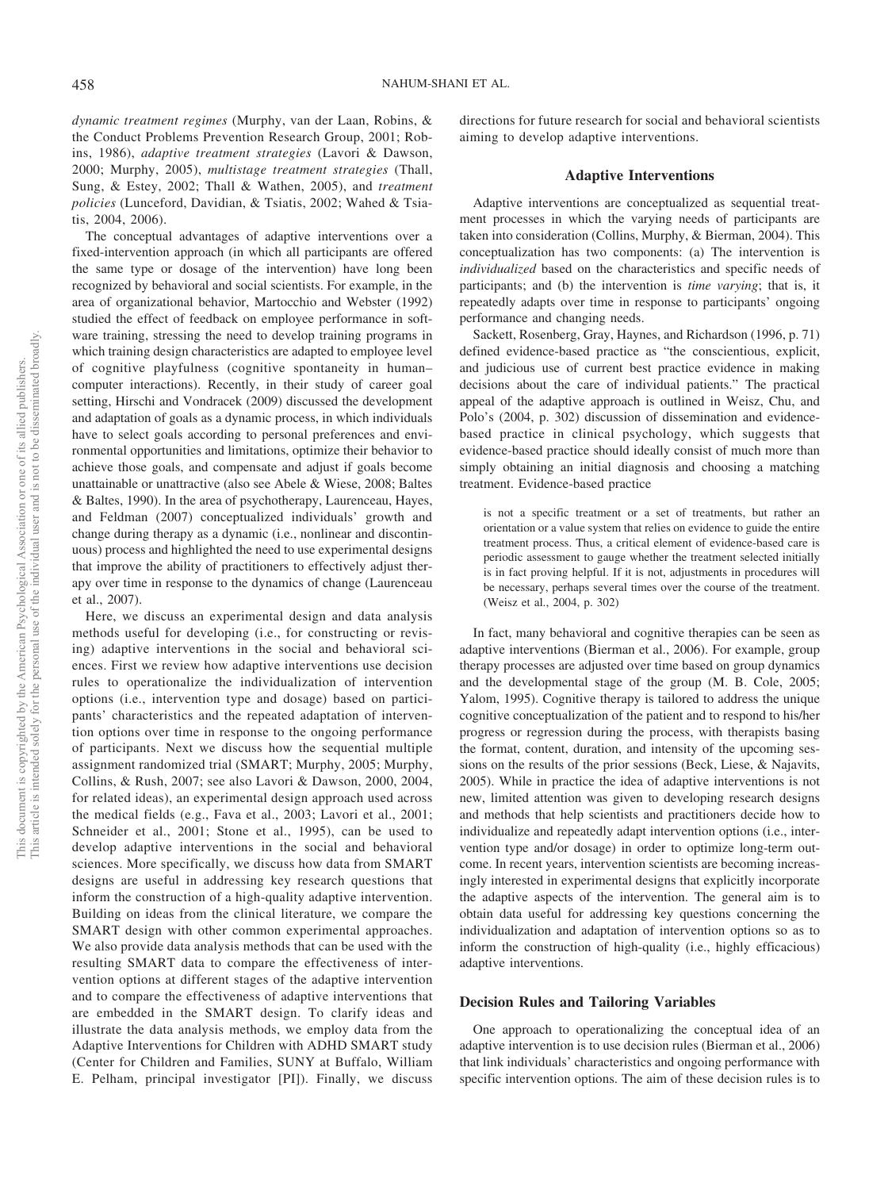*dynamic treatment regimes* (Murphy, van der Laan, Robins, & the Conduct Problems Prevention Research Group, 2001; Robins, 1986), *adaptive treatment strategies* (Lavori & Dawson, 2000; Murphy, 2005), *multistage treatment strategies* (Thall, Sung, & Estey, 2002; Thall & Wathen, 2005), and *treatment policies* (Lunceford, Davidian, & Tsiatis, 2002; Wahed & Tsiatis, 2004, 2006).

The conceptual advantages of adaptive interventions over a fixed-intervention approach (in which all participants are offered the same type or dosage of the intervention) have long been recognized by behavioral and social scientists. For example, in the area of organizational behavior, Martocchio and Webster (1992) studied the effect of feedback on employee performance in software training, stressing the need to develop training programs in which training design characteristics are adapted to employee level of cognitive playfulness (cognitive spontaneity in human– computer interactions). Recently, in their study of career goal setting, Hirschi and Vondracek (2009) discussed the development and adaptation of goals as a dynamic process, in which individuals have to select goals according to personal preferences and environmental opportunities and limitations, optimize their behavior to achieve those goals, and compensate and adjust if goals become unattainable or unattractive (also see Abele & Wiese, 2008; Baltes & Baltes, 1990). In the area of psychotherapy, Laurenceau, Hayes, and Feldman (2007) conceptualized individuals' growth and change during therapy as a dynamic (i.e., nonlinear and discontinuous) process and highlighted the need to use experimental designs that improve the ability of practitioners to effectively adjust therapy over time in response to the dynamics of change (Laurenceau et al., 2007).

Here, we discuss an experimental design and data analysis methods useful for developing (i.e., for constructing or revising) adaptive interventions in the social and behavioral sciences. First we review how adaptive interventions use decision rules to operationalize the individualization of intervention options (i.e., intervention type and dosage) based on participants' characteristics and the repeated adaptation of intervention options over time in response to the ongoing performance of participants. Next we discuss how the sequential multiple assignment randomized trial (SMART; Murphy, 2005; Murphy, Collins, & Rush, 2007; see also Lavori & Dawson, 2000, 2004, for related ideas), an experimental design approach used across the medical fields (e.g., Fava et al., 2003; Lavori et al., 2001; Schneider et al., 2001; Stone et al., 1995), can be used to develop adaptive interventions in the social and behavioral sciences. More specifically, we discuss how data from SMART designs are useful in addressing key research questions that inform the construction of a high-quality adaptive intervention. Building on ideas from the clinical literature, we compare the SMART design with other common experimental approaches. We also provide data analysis methods that can be used with the resulting SMART data to compare the effectiveness of intervention options at different stages of the adaptive intervention and to compare the effectiveness of adaptive interventions that are embedded in the SMART design. To clarify ideas and illustrate the data analysis methods, we employ data from the Adaptive Interventions for Children with ADHD SMART study (Center for Children and Families, SUNY at Buffalo, William E. Pelham, principal investigator [PI]). Finally, we discuss directions for future research for social and behavioral scientists aiming to develop adaptive interventions.

# **Adaptive Interventions**

Adaptive interventions are conceptualized as sequential treatment processes in which the varying needs of participants are taken into consideration (Collins, Murphy, & Bierman, 2004). This conceptualization has two components: (a) The intervention is *individualized* based on the characteristics and specific needs of participants; and (b) the intervention is *time varying*; that is, it repeatedly adapts over time in response to participants' ongoing performance and changing needs.

Sackett, Rosenberg, Gray, Haynes, and Richardson (1996, p. 71) defined evidence-based practice as "the conscientious, explicit, and judicious use of current best practice evidence in making decisions about the care of individual patients." The practical appeal of the adaptive approach is outlined in Weisz, Chu, and Polo's (2004, p. 302) discussion of dissemination and evidencebased practice in clinical psychology, which suggests that evidence-based practice should ideally consist of much more than simply obtaining an initial diagnosis and choosing a matching treatment. Evidence-based practice

is not a specific treatment or a set of treatments, but rather an orientation or a value system that relies on evidence to guide the entire treatment process. Thus, a critical element of evidence-based care is periodic assessment to gauge whether the treatment selected initially is in fact proving helpful. If it is not, adjustments in procedures will be necessary, perhaps several times over the course of the treatment. (Weisz et al., 2004, p. 302)

In fact, many behavioral and cognitive therapies can be seen as adaptive interventions (Bierman et al., 2006). For example, group therapy processes are adjusted over time based on group dynamics and the developmental stage of the group (M. B. Cole, 2005; Yalom, 1995). Cognitive therapy is tailored to address the unique cognitive conceptualization of the patient and to respond to his/her progress or regression during the process, with therapists basing the format, content, duration, and intensity of the upcoming sessions on the results of the prior sessions (Beck, Liese, & Najavits, 2005). While in practice the idea of adaptive interventions is not new, limited attention was given to developing research designs and methods that help scientists and practitioners decide how to individualize and repeatedly adapt intervention options (i.e., intervention type and/or dosage) in order to optimize long-term outcome. In recent years, intervention scientists are becoming increasingly interested in experimental designs that explicitly incorporate the adaptive aspects of the intervention. The general aim is to obtain data useful for addressing key questions concerning the individualization and adaptation of intervention options so as to inform the construction of high-quality (i.e., highly efficacious) adaptive interventions.

## **Decision Rules and Tailoring Variables**

One approach to operationalizing the conceptual idea of an adaptive intervention is to use decision rules (Bierman et al., 2006) that link individuals' characteristics and ongoing performance with specific intervention options. The aim of these decision rules is to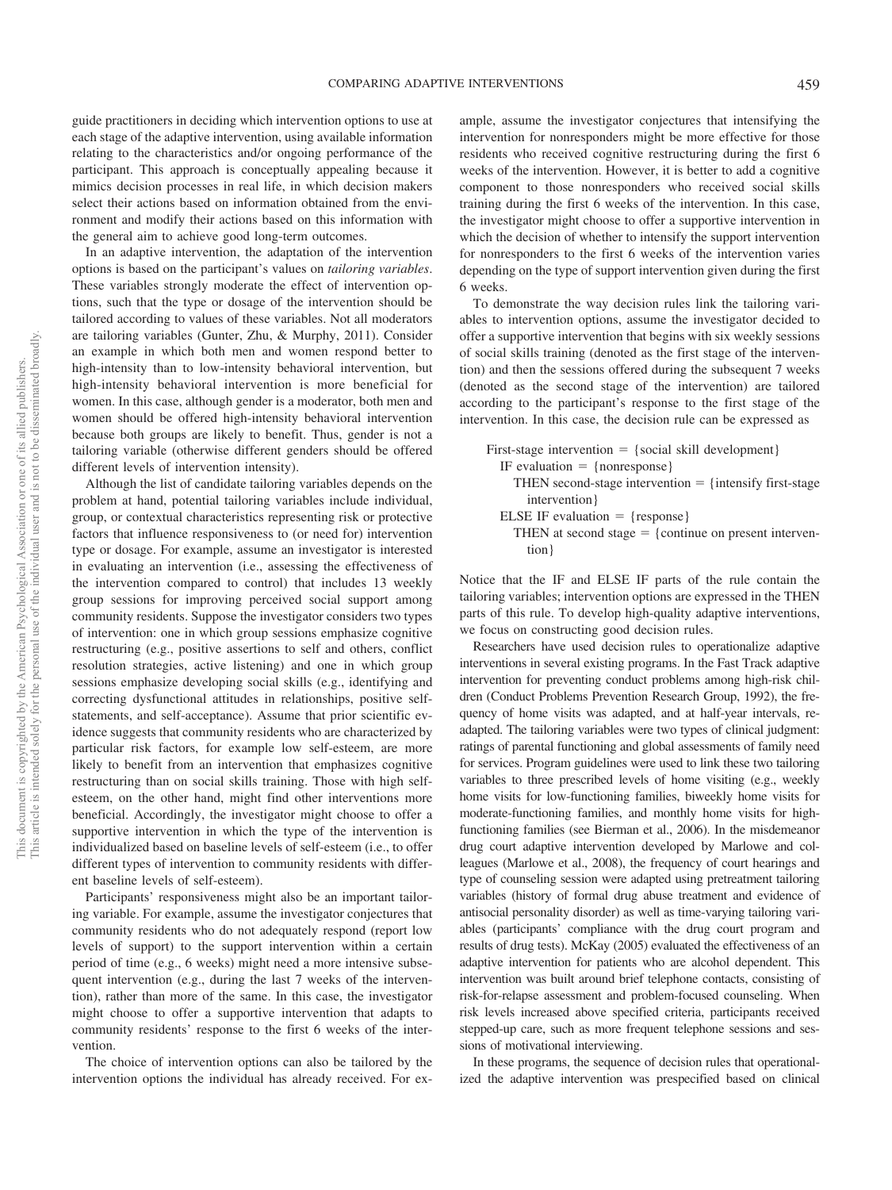guide practitioners in deciding which intervention options to use at each stage of the adaptive intervention, using available information relating to the characteristics and/or ongoing performance of the participant. This approach is conceptually appealing because it mimics decision processes in real life, in which decision makers select their actions based on information obtained from the environment and modify their actions based on this information with the general aim to achieve good long-term outcomes.

In an adaptive intervention, the adaptation of the intervention options is based on the participant's values on *tailoring variables*. These variables strongly moderate the effect of intervention options, such that the type or dosage of the intervention should be tailored according to values of these variables. Not all moderators are tailoring variables (Gunter, Zhu, & Murphy, 2011). Consider an example in which both men and women respond better to high-intensity than to low-intensity behavioral intervention, but high-intensity behavioral intervention is more beneficial for women. In this case, although gender is a moderator, both men and women should be offered high-intensity behavioral intervention because both groups are likely to benefit. Thus, gender is not a tailoring variable (otherwise different genders should be offered different levels of intervention intensity).

Although the list of candidate tailoring variables depends on the problem at hand, potential tailoring variables include individual, group, or contextual characteristics representing risk or protective factors that influence responsiveness to (or need for) intervention type or dosage. For example, assume an investigator is interested in evaluating an intervention (i.e., assessing the effectiveness of the intervention compared to control) that includes 13 weekly group sessions for improving perceived social support among community residents. Suppose the investigator considers two types of intervention: one in which group sessions emphasize cognitive restructuring (e.g., positive assertions to self and others, conflict resolution strategies, active listening) and one in which group sessions emphasize developing social skills (e.g., identifying and correcting dysfunctional attitudes in relationships, positive selfstatements, and self-acceptance). Assume that prior scientific evidence suggests that community residents who are characterized by particular risk factors, for example low self-esteem, are more likely to benefit from an intervention that emphasizes cognitive restructuring than on social skills training. Those with high selfesteem, on the other hand, might find other interventions more beneficial. Accordingly, the investigator might choose to offer a supportive intervention in which the type of the intervention is individualized based on baseline levels of self-esteem (i.e., to offer different types of intervention to community residents with different baseline levels of self-esteem).

Participants' responsiveness might also be an important tailoring variable. For example, assume the investigator conjectures that community residents who do not adequately respond (report low levels of support) to the support intervention within a certain period of time (e.g., 6 weeks) might need a more intensive subsequent intervention (e.g., during the last 7 weeks of the intervention), rather than more of the same. In this case, the investigator might choose to offer a supportive intervention that adapts to community residents' response to the first 6 weeks of the intervention.

The choice of intervention options can also be tailored by the intervention options the individual has already received. For ex-

ample, assume the investigator conjectures that intensifying the intervention for nonresponders might be more effective for those residents who received cognitive restructuring during the first 6 weeks of the intervention. However, it is better to add a cognitive component to those nonresponders who received social skills training during the first 6 weeks of the intervention. In this case, the investigator might choose to offer a supportive intervention in which the decision of whether to intensify the support intervention for nonresponders to the first 6 weeks of the intervention varies depending on the type of support intervention given during the first 6 weeks.

To demonstrate the way decision rules link the tailoring variables to intervention options, assume the investigator decided to offer a supportive intervention that begins with six weekly sessions of social skills training (denoted as the first stage of the intervention) and then the sessions offered during the subsequent 7 weeks (denoted as the second stage of the intervention) are tailored according to the participant's response to the first stage of the intervention. In this case, the decision rule can be expressed as

First-stage intervention  $=$  {social skill development} IF evaluation  $=$  {nonresponse} THEN second-stage intervention  $=$  {intensify first-stage} intervention} ELSE IF evaluation  $=$  {response} THEN at second stage  $=$  {continue on present intervention}

Notice that the IF and ELSE IF parts of the rule contain the tailoring variables; intervention options are expressed in the THEN parts of this rule. To develop high-quality adaptive interventions, we focus on constructing good decision rules.

Researchers have used decision rules to operationalize adaptive interventions in several existing programs. In the Fast Track adaptive intervention for preventing conduct problems among high-risk children (Conduct Problems Prevention Research Group, 1992), the frequency of home visits was adapted, and at half-year intervals, readapted. The tailoring variables were two types of clinical judgment: ratings of parental functioning and global assessments of family need for services. Program guidelines were used to link these two tailoring variables to three prescribed levels of home visiting (e.g., weekly home visits for low-functioning families, biweekly home visits for moderate-functioning families, and monthly home visits for highfunctioning families (see Bierman et al., 2006). In the misdemeanor drug court adaptive intervention developed by Marlowe and colleagues (Marlowe et al., 2008), the frequency of court hearings and type of counseling session were adapted using pretreatment tailoring variables (history of formal drug abuse treatment and evidence of antisocial personality disorder) as well as time-varying tailoring variables (participants' compliance with the drug court program and results of drug tests). McKay (2005) evaluated the effectiveness of an adaptive intervention for patients who are alcohol dependent. This intervention was built around brief telephone contacts, consisting of risk-for-relapse assessment and problem-focused counseling. When risk levels increased above specified criteria, participants received stepped-up care, such as more frequent telephone sessions and sessions of motivational interviewing.

In these programs, the sequence of decision rules that operationalized the adaptive intervention was prespecified based on clinical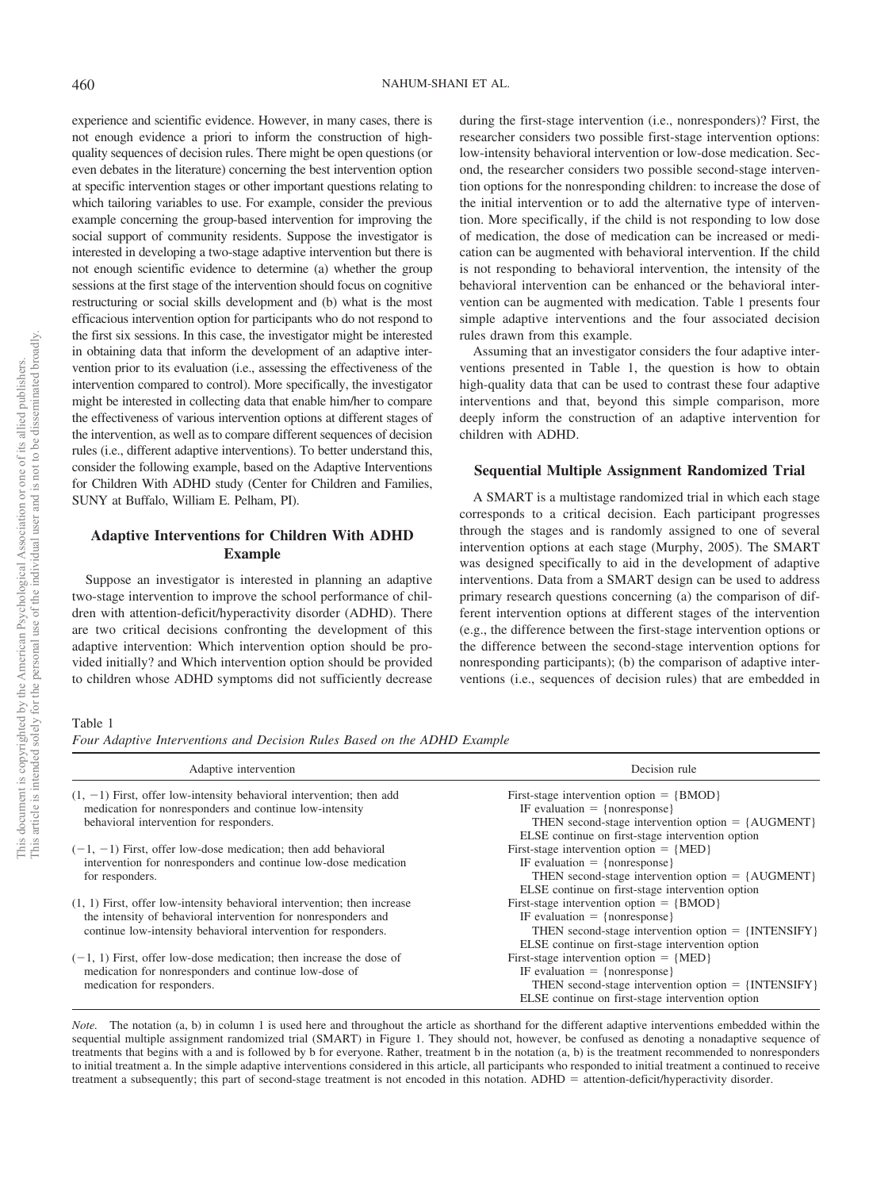experience and scientific evidence. However, in many cases, there is not enough evidence a priori to inform the construction of highquality sequences of decision rules. There might be open questions (or even debates in the literature) concerning the best intervention option at specific intervention stages or other important questions relating to which tailoring variables to use. For example, consider the previous example concerning the group-based intervention for improving the social support of community residents. Suppose the investigator is interested in developing a two-stage adaptive intervention but there is not enough scientific evidence to determine (a) whether the group sessions at the first stage of the intervention should focus on cognitive restructuring or social skills development and (b) what is the most efficacious intervention option for participants who do not respond to the first six sessions. In this case, the investigator might be interested in obtaining data that inform the development of an adaptive intervention prior to its evaluation (i.e., assessing the effectiveness of the intervention compared to control). More specifically, the investigator might be interested in collecting data that enable him/her to compare the effectiveness of various intervention options at different stages of the intervention, as well as to compare different sequences of decision rules (i.e., different adaptive interventions). To better understand this, consider the following example, based on the Adaptive Interventions for Children With ADHD study (Center for Children and Families, SUNY at Buffalo, William E. Pelham, PI).

# **Adaptive Interventions for Children With ADHD Example**

Suppose an investigator is interested in planning an adaptive two-stage intervention to improve the school performance of children with attention-deficit/hyperactivity disorder (ADHD). There are two critical decisions confronting the development of this adaptive intervention: Which intervention option should be provided initially? and Which intervention option should be provided to children whose ADHD symptoms did not sufficiently decrease

during the first-stage intervention (i.e., nonresponders)? First, the researcher considers two possible first-stage intervention options: low-intensity behavioral intervention or low-dose medication. Second, the researcher considers two possible second-stage intervention options for the nonresponding children: to increase the dose of the initial intervention or to add the alternative type of intervention. More specifically, if the child is not responding to low dose of medication, the dose of medication can be increased or medication can be augmented with behavioral intervention. If the child is not responding to behavioral intervention, the intensity of the behavioral intervention can be enhanced or the behavioral intervention can be augmented with medication. Table 1 presents four simple adaptive interventions and the four associated decision rules drawn from this example.

Assuming that an investigator considers the four adaptive interventions presented in Table 1, the question is how to obtain high-quality data that can be used to contrast these four adaptive interventions and that, beyond this simple comparison, more deeply inform the construction of an adaptive intervention for children with ADHD.

## **Sequential Multiple Assignment Randomized Trial**

A SMART is a multistage randomized trial in which each stage corresponds to a critical decision. Each participant progresses through the stages and is randomly assigned to one of several intervention options at each stage (Murphy, 2005). The SMART was designed specifically to aid in the development of adaptive interventions. Data from a SMART design can be used to address primary research questions concerning (a) the comparison of different intervention options at different stages of the intervention (e.g., the difference between the first-stage intervention options or the difference between the second-stage intervention options for nonresponding participants); (b) the comparison of adaptive interventions (i.e., sequences of decision rules) that are embedded in

Table 1

*Four Adaptive Interventions and Decision Rules Based on the ADHD Example*

| Adaptive intervention                                                      | Decision rule                                         |  |  |  |
|----------------------------------------------------------------------------|-------------------------------------------------------|--|--|--|
| $(1, -1)$ First, offer low-intensity behavioral intervention; then add     | First-stage intervention option $=$ {BMOD}            |  |  |  |
| medication for nonresponders and continue low-intensity                    | IF evaluation $=$ {nonresponse}                       |  |  |  |
| behavioral intervention for responders.                                    | THEN second-stage intervention option $= \{AUGMENT\}$ |  |  |  |
|                                                                            | ELSE continue on first-stage intervention option      |  |  |  |
| $(-1, -1)$ First, offer low-dose medication; then add behavioral           | First-stage intervention option $=$ {MED}             |  |  |  |
| intervention for nonresponders and continue low-dose medication            | IF evaluation $=$ {nonresponse}                       |  |  |  |
| for responders.                                                            | THEN second-stage intervention option $= \{AUGMENT\}$ |  |  |  |
|                                                                            | ELSE continue on first-stage intervention option      |  |  |  |
| $(1, 1)$ First, offer low-intensity behavioral intervention; then increase | First-stage intervention option $=$ {BMOD}            |  |  |  |
| the intensity of behavioral intervention for nonresponders and             | IF evaluation $=$ {nonresponse}                       |  |  |  |
| continue low-intensity behavioral intervention for responders.             | THEN second-stage intervention option $=$ {INTENSIFY} |  |  |  |
|                                                                            | ELSE continue on first-stage intervention option      |  |  |  |
| $(-1, 1)$ First, offer low-dose medication; then increase the dose of      | First-stage intervention option $=$ {MED}             |  |  |  |
| medication for nonresponders and continue low-dose of                      | IF evaluation $=$ {nonresponse}                       |  |  |  |
| medication for responders.                                                 | THEN second-stage intervention option $=$ {INTENSIFY} |  |  |  |
|                                                                            | ELSE continue on first-stage intervention option      |  |  |  |

*Note.* The notation (a, b) in column 1 is used here and throughout the article as shorthand for the different adaptive interventions embedded within the sequential multiple assignment randomized trial (SMART) in Figure 1. They should not, however, be confused as denoting a nonadaptive sequence of treatments that begins with a and is followed by b for everyone. Rather, treatment b in the notation (a, b) is the treatment recommended to nonresponders to initial treatment a. In the simple adaptive interventions considered in this article, all participants who responded to initial treatment a continued to receive treatment a subsequently; this part of second-stage treatment is not encoded in this notation. ADHD = attention-deficit/hyperactivity disorder.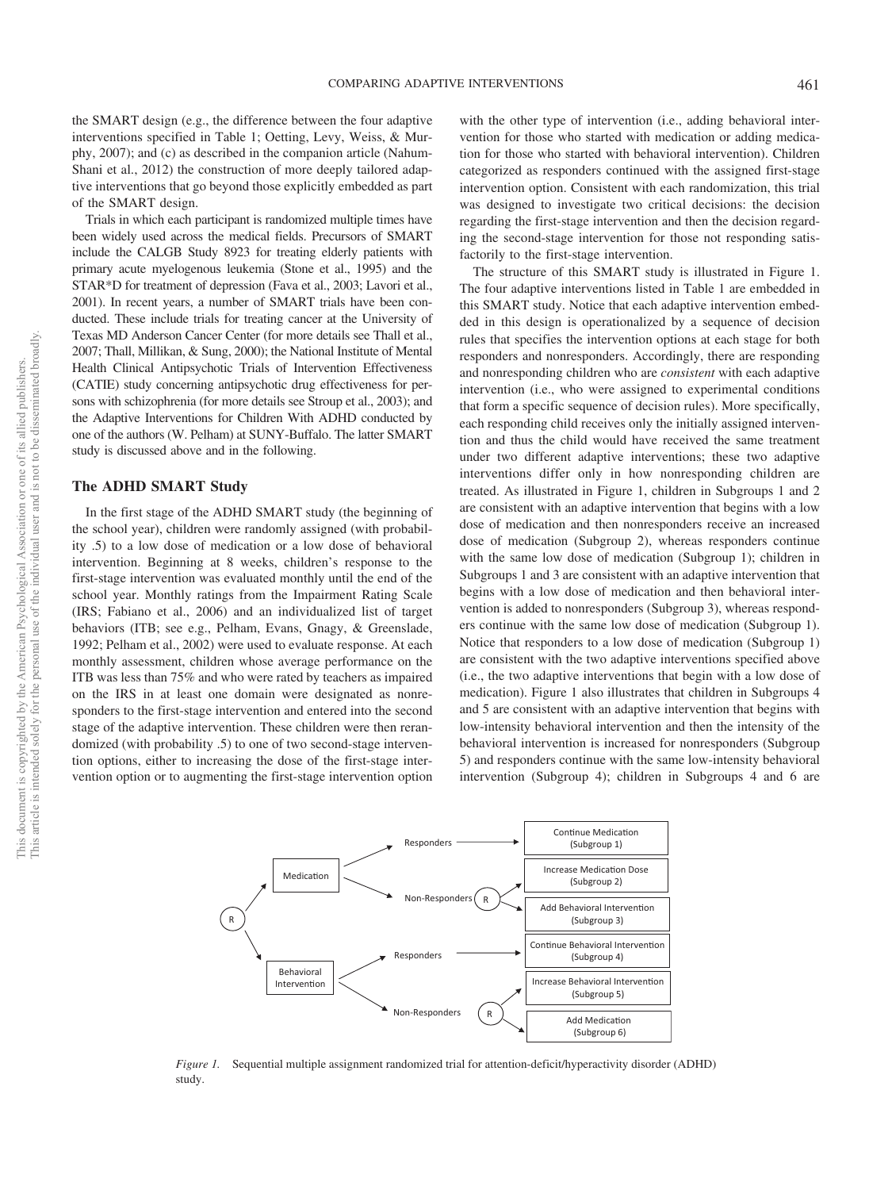the SMART design (e.g., the difference between the four adaptive interventions specified in Table 1; Oetting, Levy, Weiss, & Murphy, 2007); and (c) as described in the companion article (Nahum-Shani et al., 2012) the construction of more deeply tailored adaptive interventions that go beyond those explicitly embedded as part of the SMART design.

Trials in which each participant is randomized multiple times have been widely used across the medical fields. Precursors of SMART include the CALGB Study 8923 for treating elderly patients with primary acute myelogenous leukemia (Stone et al., 1995) and the STAR\*D for treatment of depression (Fava et al., 2003; Lavori et al., 2001). In recent years, a number of SMART trials have been conducted. These include trials for treating cancer at the University of Texas MD Anderson Cancer Center (for more details see Thall et al., 2007; Thall, Millikan, & Sung, 2000); the National Institute of Mental Health Clinical Antipsychotic Trials of Intervention Effectiveness (CATIE) study concerning antipsychotic drug effectiveness for persons with schizophrenia (for more details see Stroup et al., 2003); and the Adaptive Interventions for Children With ADHD conducted by one of the authors (W. Pelham) at SUNY-Buffalo. The latter SMART study is discussed above and in the following.

## **The ADHD SMART Study**

In the first stage of the ADHD SMART study (the beginning of the school year), children were randomly assigned (with probability .5) to a low dose of medication or a low dose of behavioral intervention. Beginning at 8 weeks, children's response to the first-stage intervention was evaluated monthly until the end of the school year. Monthly ratings from the Impairment Rating Scale (IRS; Fabiano et al., 2006) and an individualized list of target behaviors (ITB; see e.g., Pelham, Evans, Gnagy, & Greenslade, 1992; Pelham et al., 2002) were used to evaluate response. At each monthly assessment, children whose average performance on the ITB was less than 75% and who were rated by teachers as impaired on the IRS in at least one domain were designated as nonresponders to the first-stage intervention and entered into the second stage of the adaptive intervention. These children were then rerandomized (with probability .5) to one of two second-stage intervention options, either to increasing the dose of the first-stage intervention option or to augmenting the first-stage intervention option

Behavioral

with the other type of intervention (i.e., adding behavioral intervention for those who started with medication or adding medication for those who started with behavioral intervention). Children categorized as responders continued with the assigned first-stage intervention option. Consistent with each randomization, this trial was designed to investigate two critical decisions: the decision regarding the first-stage intervention and then the decision regarding the second-stage intervention for those not responding satisfactorily to the first-stage intervention.

The structure of this SMART study is illustrated in Figure 1. The four adaptive interventions listed in Table 1 are embedded in this SMART study. Notice that each adaptive intervention embedded in this design is operationalized by a sequence of decision rules that specifies the intervention options at each stage for both responders and nonresponders. Accordingly, there are responding and nonresponding children who are *consistent* with each adaptive intervention (i.e., who were assigned to experimental conditions that form a specific sequence of decision rules). More specifically, each responding child receives only the initially assigned intervention and thus the child would have received the same treatment under two different adaptive interventions; these two adaptive interventions differ only in how nonresponding children are treated. As illustrated in Figure 1, children in Subgroups 1 and 2 are consistent with an adaptive intervention that begins with a low dose of medication and then nonresponders receive an increased dose of medication (Subgroup 2), whereas responders continue with the same low dose of medication (Subgroup 1); children in Subgroups 1 and 3 are consistent with an adaptive intervention that begins with a low dose of medication and then behavioral intervention is added to nonresponders (Subgroup 3), whereas responders continue with the same low dose of medication (Subgroup 1). Notice that responders to a low dose of medication (Subgroup 1) are consistent with the two adaptive interventions specified above (i.e., the two adaptive interventions that begin with a low dose of medication). Figure 1 also illustrates that children in Subgroups 4 and 5 are consistent with an adaptive intervention that begins with low-intensity behavioral intervention and then the intensity of the behavioral intervention is increased for nonresponders (Subgroup 5) and responders continue with the same low-intensity behavioral intervention (Subgroup 4); children in Subgroups 4 and 6 are

Continue Medication

(Subgroup 2)

Add Behavioral Intervention (Subgroup 3) Continue Behavioral Intervention

Increase Behavioral Intervention (Subgroup 5)

(Subgroup 6)

Responders **Example 2** (Subgroup 1)

Responders (Subgroup 4)

Non-Responders  $(R)$  Add Medication

Medication  $\sim$  Medication Dose

R

Non-Responder

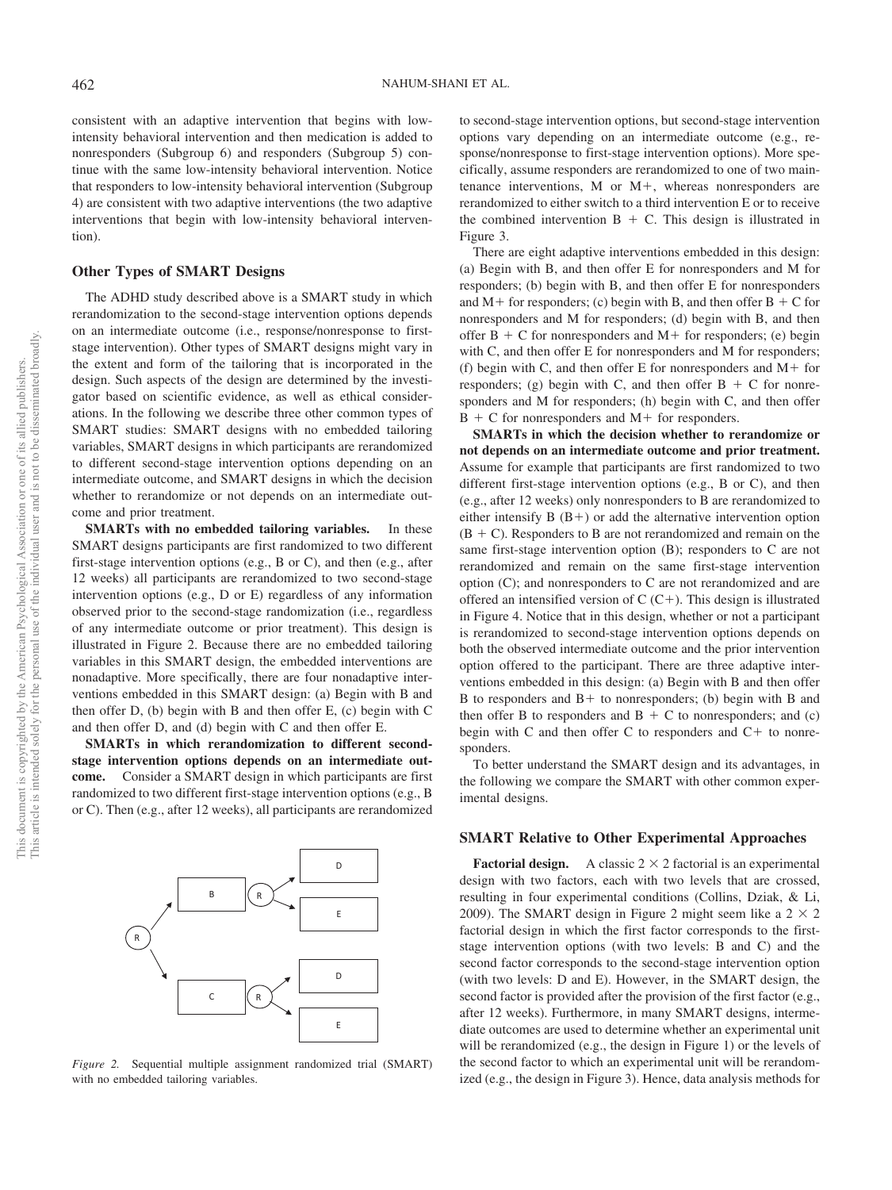consistent with an adaptive intervention that begins with lowintensity behavioral intervention and then medication is added to nonresponders (Subgroup 6) and responders (Subgroup 5) continue with the same low-intensity behavioral intervention. Notice that responders to low-intensity behavioral intervention (Subgroup 4) are consistent with two adaptive interventions (the two adaptive interventions that begin with low-intensity behavioral intervention).

# **Other Types of SMART Designs**

The ADHD study described above is a SMART study in which rerandomization to the second-stage intervention options depends on an intermediate outcome (i.e., response/nonresponse to firststage intervention). Other types of SMART designs might vary in the extent and form of the tailoring that is incorporated in the design. Such aspects of the design are determined by the investigator based on scientific evidence, as well as ethical considerations. In the following we describe three other common types of SMART studies: SMART designs with no embedded tailoring variables, SMART designs in which participants are rerandomized to different second-stage intervention options depending on an intermediate outcome, and SMART designs in which the decision whether to rerandomize or not depends on an intermediate outcome and prior treatment.

**SMARTs with no embedded tailoring variables.** In these SMART designs participants are first randomized to two different first-stage intervention options (e.g., B or C), and then (e.g., after 12 weeks) all participants are rerandomized to two second-stage intervention options (e.g., D or E) regardless of any information observed prior to the second-stage randomization (i.e., regardless of any intermediate outcome or prior treatment). This design is illustrated in Figure 2. Because there are no embedded tailoring variables in this SMART design, the embedded interventions are nonadaptive. More specifically, there are four nonadaptive interventions embedded in this SMART design: (a) Begin with B and then offer D, (b) begin with B and then offer E, (c) begin with C and then offer D, and (d) begin with C and then offer E.

**SMARTs in which rerandomization to different secondstage intervention options depends on an intermediate outcome.** Consider a SMART design in which participants are first randomized to two different first-stage intervention options (e.g., B or C). Then (e.g., after 12 weeks), all participants are rerandomized



*Figure 2.* Sequential multiple assignment randomized trial (SMART) with no embedded tailoring variables.

to second-stage intervention options, but second-stage intervention options vary depending on an intermediate outcome (e.g., response/nonresponse to first-stage intervention options). More specifically, assume responders are rerandomized to one of two maintenance interventions,  $M$  or  $M<sup>+</sup>$ , whereas nonresponders are rerandomized to either switch to a third intervention E or to receive the combined intervention  $B + C$ . This design is illustrated in Figure 3.

There are eight adaptive interventions embedded in this design: (a) Begin with B, and then offer E for nonresponders and M for responders; (b) begin with B, and then offer E for nonresponders and  $M$  + for responders; (c) begin with B, and then offer B + C for nonresponders and M for responders; (d) begin with B, and then offer  $B + C$  for nonresponders and  $M +$  for responders; (e) begin with C, and then offer E for nonresponders and M for responders; (f) begin with C, and then offer E for nonresponders and  $M +$  for responders; (g) begin with C, and then offer  $B + C$  for nonresponders and M for responders; (h) begin with C, and then offer  $B + C$  for nonresponders and  $M +$  for responders.

**SMARTs in which the decision whether to rerandomize or not depends on an intermediate outcome and prior treatment.** Assume for example that participants are first randomized to two different first-stage intervention options (e.g., B or C), and then (e.g., after 12 weeks) only nonresponders to B are rerandomized to either intensify  $B(B+)$  or add the alternative intervention option  $(B + C)$ . Responders to B are not rerandomized and remain on the same first-stage intervention option (B); responders to C are not rerandomized and remain on the same first-stage intervention option (C); and nonresponders to C are not rerandomized and are offered an intensified version of  $C(C+)$ . This design is illustrated in Figure 4. Notice that in this design, whether or not a participant is rerandomized to second-stage intervention options depends on both the observed intermediate outcome and the prior intervention option offered to the participant. There are three adaptive interventions embedded in this design: (a) Begin with B and then offer B to responders and  $B+$  to nonresponders; (b) begin with B and then offer B to responders and  $B + C$  to nonresponders; and (c) begin with C and then offer C to responders and  $C<sup>+</sup>$  to nonresponders.

To better understand the SMART design and its advantages, in the following we compare the SMART with other common experimental designs.

# **SMART Relative to Other Experimental Approaches**

**Factorial design.** A classic  $2 \times 2$  factorial is an experimental design with two factors, each with two levels that are crossed, resulting in four experimental conditions (Collins, Dziak, & Li, 2009). The SMART design in Figure 2 might seem like a  $2 \times 2$ factorial design in which the first factor corresponds to the firststage intervention options (with two levels: B and C) and the second factor corresponds to the second-stage intervention option (with two levels: D and E). However, in the SMART design, the second factor is provided after the provision of the first factor (e.g., after 12 weeks). Furthermore, in many SMART designs, intermediate outcomes are used to determine whether an experimental unit will be rerandomized (e.g., the design in Figure 1) or the levels of the second factor to which an experimental unit will be rerandomized (e.g., the design in Figure 3). Hence, data analysis methods for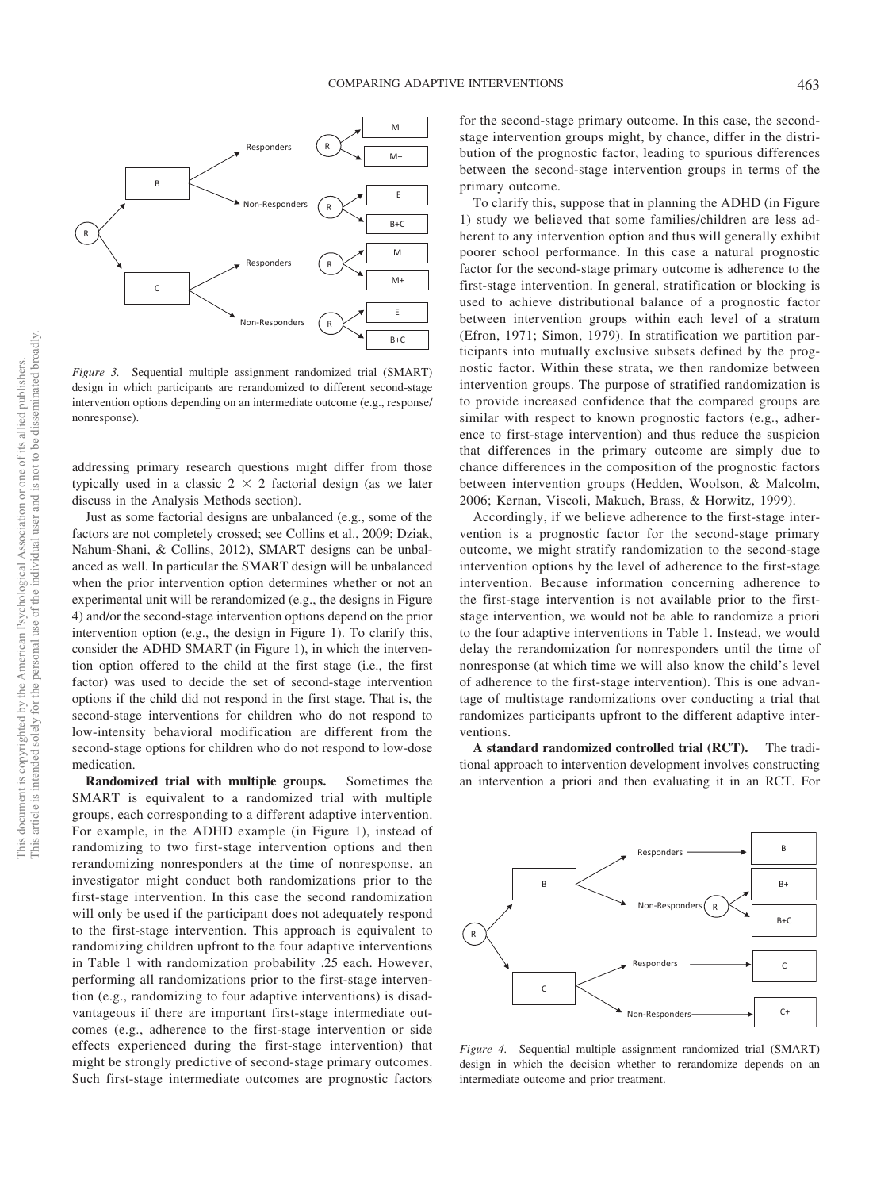

*Figure 3.* Sequential multiple assignment randomized trial (SMART) design in which participants are rerandomized to different second-stage intervention options depending on an intermediate outcome (e.g., response/ nonresponse).

addressing primary research questions might differ from those typically used in a classic  $2 \times 2$  factorial design (as we later discuss in the Analysis Methods section).

Just as some factorial designs are unbalanced (e.g., some of the factors are not completely crossed; see Collins et al., 2009; Dziak, Nahum-Shani, & Collins, 2012), SMART designs can be unbalanced as well. In particular the SMART design will be unbalanced when the prior intervention option determines whether or not an experimental unit will be rerandomized (e.g., the designs in Figure 4) and/or the second-stage intervention options depend on the prior intervention option (e.g., the design in Figure 1). To clarify this, consider the ADHD SMART (in Figure 1), in which the intervention option offered to the child at the first stage (i.e., the first factor) was used to decide the set of second-stage intervention options if the child did not respond in the first stage. That is, the second-stage interventions for children who do not respond to low-intensity behavioral modification are different from the second-stage options for children who do not respond to low-dose medication.

**Randomized trial with multiple groups.** Sometimes the SMART is equivalent to a randomized trial with multiple groups, each corresponding to a different adaptive intervention. For example, in the ADHD example (in Figure 1), instead of randomizing to two first-stage intervention options and then rerandomizing nonresponders at the time of nonresponse, an investigator might conduct both randomizations prior to the first-stage intervention. In this case the second randomization will only be used if the participant does not adequately respond to the first-stage intervention. This approach is equivalent to randomizing children upfront to the four adaptive interventions in Table 1 with randomization probability .25 each. However, performing all randomizations prior to the first-stage intervention (e.g., randomizing to four adaptive interventions) is disadvantageous if there are important first-stage intermediate outcomes (e.g., adherence to the first-stage intervention or side effects experienced during the first-stage intervention) that might be strongly predictive of second-stage primary outcomes. Such first-stage intermediate outcomes are prognostic factors

for the second-stage primary outcome. In this case, the secondstage intervention groups might, by chance, differ in the distribution of the prognostic factor, leading to spurious differences between the second-stage intervention groups in terms of the primary outcome.

To clarify this, suppose that in planning the ADHD (in Figure 1) study we believed that some families/children are less adherent to any intervention option and thus will generally exhibit poorer school performance. In this case a natural prognostic factor for the second-stage primary outcome is adherence to the first-stage intervention. In general, stratification or blocking is used to achieve distributional balance of a prognostic factor between intervention groups within each level of a stratum (Efron, 1971; Simon, 1979). In stratification we partition participants into mutually exclusive subsets defined by the prognostic factor. Within these strata, we then randomize between intervention groups. The purpose of stratified randomization is to provide increased confidence that the compared groups are similar with respect to known prognostic factors (e.g., adherence to first-stage intervention) and thus reduce the suspicion that differences in the primary outcome are simply due to chance differences in the composition of the prognostic factors between intervention groups (Hedden, Woolson, & Malcolm, 2006; Kernan, Viscoli, Makuch, Brass, & Horwitz, 1999).

Accordingly, if we believe adherence to the first-stage intervention is a prognostic factor for the second-stage primary outcome, we might stratify randomization to the second-stage intervention options by the level of adherence to the first-stage intervention. Because information concerning adherence to the first-stage intervention is not available prior to the firststage intervention, we would not be able to randomize a priori to the four adaptive interventions in Table 1. Instead, we would delay the rerandomization for nonresponders until the time of nonresponse (at which time we will also know the child's level of adherence to the first-stage intervention). This is one advantage of multistage randomizations over conducting a trial that randomizes participants upfront to the different adaptive interventions.

**A standard randomized controlled trial (RCT).** The traditional approach to intervention development involves constructing an intervention a priori and then evaluating it in an RCT. For



*Figure 4.* Sequential multiple assignment randomized trial (SMART) design in which the decision whether to rerandomize depends on an intermediate outcome and prior treatment.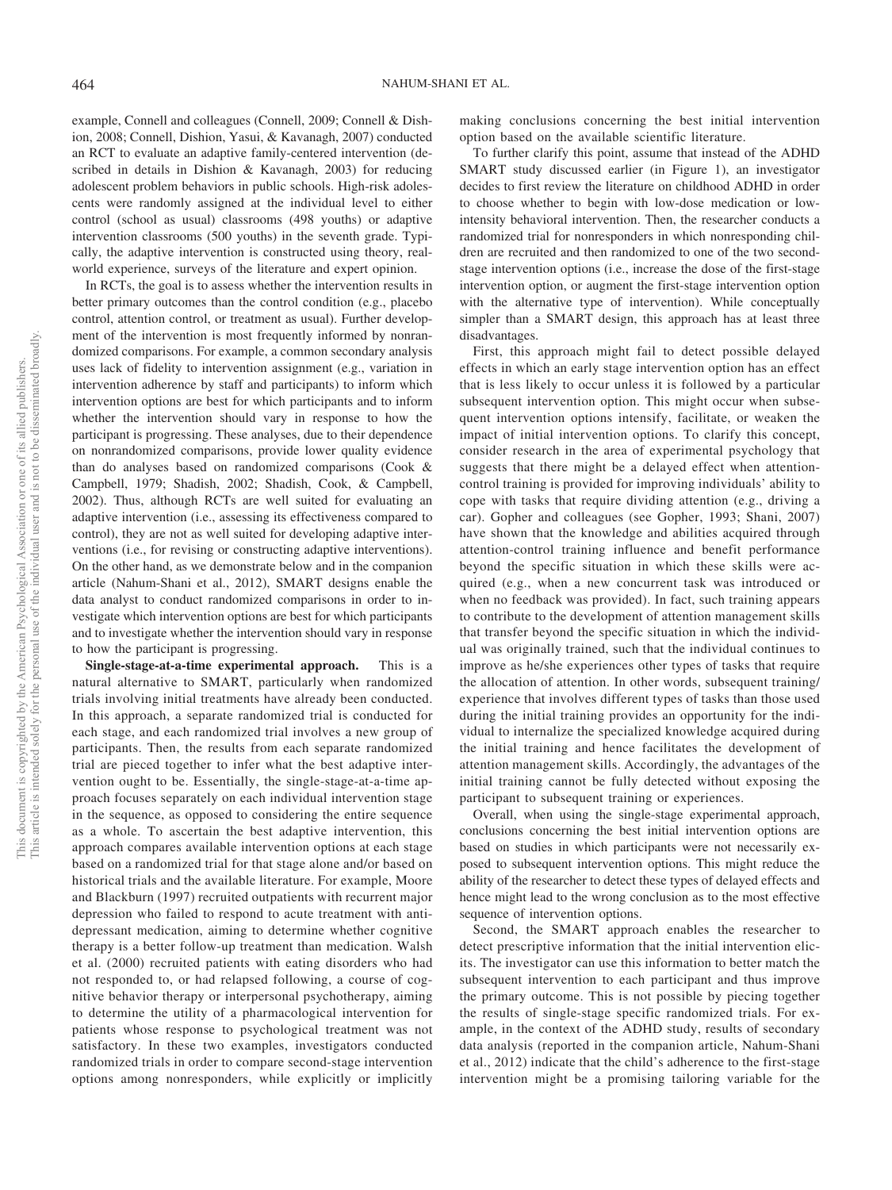example, Connell and colleagues (Connell, 2009; Connell & Dishion, 2008; Connell, Dishion, Yasui, & Kavanagh, 2007) conducted an RCT to evaluate an adaptive family-centered intervention (described in details in Dishion & Kavanagh, 2003) for reducing adolescent problem behaviors in public schools. High-risk adolescents were randomly assigned at the individual level to either control (school as usual) classrooms (498 youths) or adaptive intervention classrooms (500 youths) in the seventh grade. Typically, the adaptive intervention is constructed using theory, realworld experience, surveys of the literature and expert opinion.

In RCTs, the goal is to assess whether the intervention results in better primary outcomes than the control condition (e.g., placebo control, attention control, or treatment as usual). Further development of the intervention is most frequently informed by nonrandomized comparisons. For example, a common secondary analysis uses lack of fidelity to intervention assignment (e.g., variation in intervention adherence by staff and participants) to inform which intervention options are best for which participants and to inform whether the intervention should vary in response to how the participant is progressing. These analyses, due to their dependence on nonrandomized comparisons, provide lower quality evidence than do analyses based on randomized comparisons (Cook & Campbell, 1979; Shadish, 2002; Shadish, Cook, & Campbell, 2002). Thus, although RCTs are well suited for evaluating an adaptive intervention (i.e., assessing its effectiveness compared to control), they are not as well suited for developing adaptive interventions (i.e., for revising or constructing adaptive interventions). On the other hand, as we demonstrate below and in the companion article (Nahum-Shani et al., 2012), SMART designs enable the data analyst to conduct randomized comparisons in order to investigate which intervention options are best for which participants and to investigate whether the intervention should vary in response to how the participant is progressing.

**Single-stage-at-a-time experimental approach.** This is a natural alternative to SMART, particularly when randomized trials involving initial treatments have already been conducted. In this approach, a separate randomized trial is conducted for each stage, and each randomized trial involves a new group of participants. Then, the results from each separate randomized trial are pieced together to infer what the best adaptive intervention ought to be. Essentially, the single-stage-at-a-time approach focuses separately on each individual intervention stage in the sequence, as opposed to considering the entire sequence as a whole. To ascertain the best adaptive intervention, this approach compares available intervention options at each stage based on a randomized trial for that stage alone and/or based on historical trials and the available literature. For example, Moore and Blackburn (1997) recruited outpatients with recurrent major depression who failed to respond to acute treatment with antidepressant medication, aiming to determine whether cognitive therapy is a better follow-up treatment than medication. Walsh et al. (2000) recruited patients with eating disorders who had not responded to, or had relapsed following, a course of cognitive behavior therapy or interpersonal psychotherapy, aiming to determine the utility of a pharmacological intervention for patients whose response to psychological treatment was not satisfactory. In these two examples, investigators conducted randomized trials in order to compare second-stage intervention options among nonresponders, while explicitly or implicitly making conclusions concerning the best initial intervention option based on the available scientific literature.

To further clarify this point, assume that instead of the ADHD SMART study discussed earlier (in Figure 1), an investigator decides to first review the literature on childhood ADHD in order to choose whether to begin with low-dose medication or lowintensity behavioral intervention. Then, the researcher conducts a randomized trial for nonresponders in which nonresponding children are recruited and then randomized to one of the two secondstage intervention options (i.e., increase the dose of the first-stage intervention option, or augment the first-stage intervention option with the alternative type of intervention). While conceptually simpler than a SMART design, this approach has at least three disadvantages.

First, this approach might fail to detect possible delayed effects in which an early stage intervention option has an effect that is less likely to occur unless it is followed by a particular subsequent intervention option. This might occur when subsequent intervention options intensify, facilitate, or weaken the impact of initial intervention options. To clarify this concept, consider research in the area of experimental psychology that suggests that there might be a delayed effect when attentioncontrol training is provided for improving individuals' ability to cope with tasks that require dividing attention (e.g., driving a car). Gopher and colleagues (see Gopher, 1993; Shani, 2007) have shown that the knowledge and abilities acquired through attention-control training influence and benefit performance beyond the specific situation in which these skills were acquired (e.g., when a new concurrent task was introduced or when no feedback was provided). In fact, such training appears to contribute to the development of attention management skills that transfer beyond the specific situation in which the individual was originally trained, such that the individual continues to improve as he/she experiences other types of tasks that require the allocation of attention. In other words, subsequent training/ experience that involves different types of tasks than those used during the initial training provides an opportunity for the individual to internalize the specialized knowledge acquired during the initial training and hence facilitates the development of attention management skills. Accordingly, the advantages of the initial training cannot be fully detected without exposing the participant to subsequent training or experiences.

Overall, when using the single-stage experimental approach, conclusions concerning the best initial intervention options are based on studies in which participants were not necessarily exposed to subsequent intervention options. This might reduce the ability of the researcher to detect these types of delayed effects and hence might lead to the wrong conclusion as to the most effective sequence of intervention options.

Second, the SMART approach enables the researcher to detect prescriptive information that the initial intervention elicits. The investigator can use this information to better match the subsequent intervention to each participant and thus improve the primary outcome. This is not possible by piecing together the results of single-stage specific randomized trials. For example, in the context of the ADHD study, results of secondary data analysis (reported in the companion article, Nahum-Shani et al., 2012) indicate that the child's adherence to the first-stage intervention might be a promising tailoring variable for the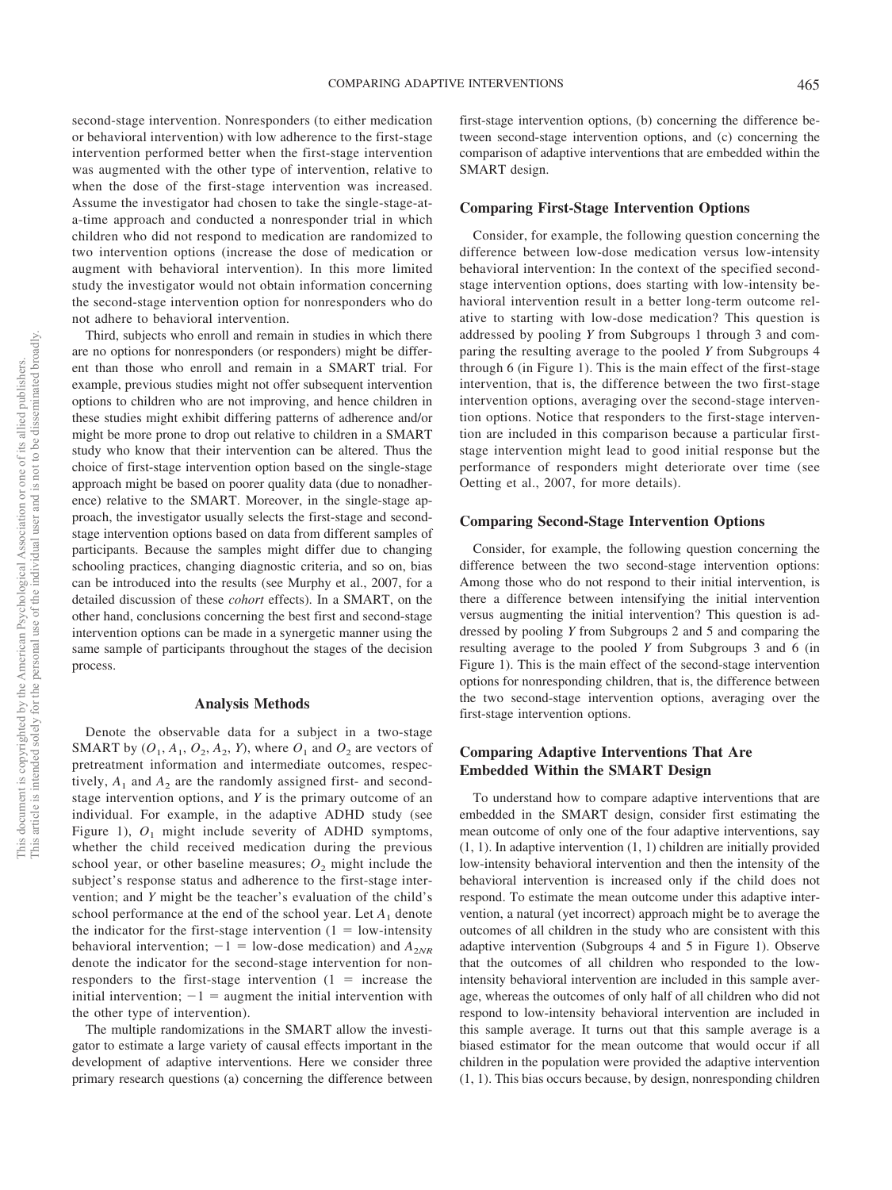second-stage intervention. Nonresponders (to either medication or behavioral intervention) with low adherence to the first-stage intervention performed better when the first-stage intervention was augmented with the other type of intervention, relative to when the dose of the first-stage intervention was increased. Assume the investigator had chosen to take the single-stage-ata-time approach and conducted a nonresponder trial in which children who did not respond to medication are randomized to two intervention options (increase the dose of medication or augment with behavioral intervention). In this more limited study the investigator would not obtain information concerning the second-stage intervention option for nonresponders who do not adhere to behavioral intervention.

Third, subjects who enroll and remain in studies in which there are no options for nonresponders (or responders) might be different than those who enroll and remain in a SMART trial. For example, previous studies might not offer subsequent intervention options to children who are not improving, and hence children in these studies might exhibit differing patterns of adherence and/or might be more prone to drop out relative to children in a SMART study who know that their intervention can be altered. Thus the choice of first-stage intervention option based on the single-stage approach might be based on poorer quality data (due to nonadherence) relative to the SMART. Moreover, in the single-stage approach, the investigator usually selects the first-stage and secondstage intervention options based on data from different samples of participants. Because the samples might differ due to changing schooling practices, changing diagnostic criteria, and so on, bias can be introduced into the results (see Murphy et al., 2007, for a detailed discussion of these *cohort* effects). In a SMART, on the other hand, conclusions concerning the best first and second-stage intervention options can be made in a synergetic manner using the same sample of participants throughout the stages of the decision process.

#### **Analysis Methods**

Denote the observable data for a subject in a two-stage SMART by  $(O_1, A_1, O_2, A_2, Y)$ , where  $O_1$  and  $O_2$  are vectors of pretreatment information and intermediate outcomes, respectively,  $A_1$  and  $A_2$  are the randomly assigned first- and secondstage intervention options, and *Y* is the primary outcome of an individual. For example, in the adaptive ADHD study (see Figure 1),  $O_1$  might include severity of ADHD symptoms, whether the child received medication during the previous school year, or other baseline measures;  $O_2$  might include the subject's response status and adherence to the first-stage intervention; and *Y* might be the teacher's evaluation of the child's school performance at the end of the school year. Let  $A_1$  denote the indicator for the first-stage intervention  $(1 = low-intensity)$ behavioral intervention;  $-1 =$  low-dose medication) and  $A_{2NR}$ denote the indicator for the second-stage intervention for nonresponders to the first-stage intervention  $(1 =$  increase the initial intervention;  $-1$  = augment the initial intervention with the other type of intervention).

The multiple randomizations in the SMART allow the investigator to estimate a large variety of causal effects important in the development of adaptive interventions. Here we consider three primary research questions (a) concerning the difference between

first-stage intervention options, (b) concerning the difference between second-stage intervention options, and (c) concerning the comparison of adaptive interventions that are embedded within the SMART design.

#### **Comparing First-Stage Intervention Options**

Consider, for example, the following question concerning the difference between low-dose medication versus low-intensity behavioral intervention: In the context of the specified secondstage intervention options, does starting with low-intensity behavioral intervention result in a better long-term outcome relative to starting with low-dose medication? This question is addressed by pooling *Y* from Subgroups 1 through 3 and comparing the resulting average to the pooled *Y* from Subgroups 4 through 6 (in Figure 1). This is the main effect of the first-stage intervention, that is, the difference between the two first-stage intervention options, averaging over the second-stage intervention options. Notice that responders to the first-stage intervention are included in this comparison because a particular firststage intervention might lead to good initial response but the performance of responders might deteriorate over time (see Oetting et al., 2007, for more details).

## **Comparing Second-Stage Intervention Options**

Consider, for example, the following question concerning the difference between the two second-stage intervention options: Among those who do not respond to their initial intervention, is there a difference between intensifying the initial intervention versus augmenting the initial intervention? This question is addressed by pooling *Y* from Subgroups 2 and 5 and comparing the resulting average to the pooled *Y* from Subgroups 3 and 6 (in Figure 1). This is the main effect of the second-stage intervention options for nonresponding children, that is, the difference between the two second-stage intervention options, averaging over the first-stage intervention options.

# **Comparing Adaptive Interventions That Are Embedded Within the SMART Design**

To understand how to compare adaptive interventions that are embedded in the SMART design, consider first estimating the mean outcome of only one of the four adaptive interventions, say (1, 1). In adaptive intervention (1, 1) children are initially provided low-intensity behavioral intervention and then the intensity of the behavioral intervention is increased only if the child does not respond. To estimate the mean outcome under this adaptive intervention, a natural (yet incorrect) approach might be to average the outcomes of all children in the study who are consistent with this adaptive intervention (Subgroups 4 and 5 in Figure 1). Observe that the outcomes of all children who responded to the lowintensity behavioral intervention are included in this sample average, whereas the outcomes of only half of all children who did not respond to low-intensity behavioral intervention are included in this sample average. It turns out that this sample average is a biased estimator for the mean outcome that would occur if all children in the population were provided the adaptive intervention (1, 1). This bias occurs because, by design, nonresponding children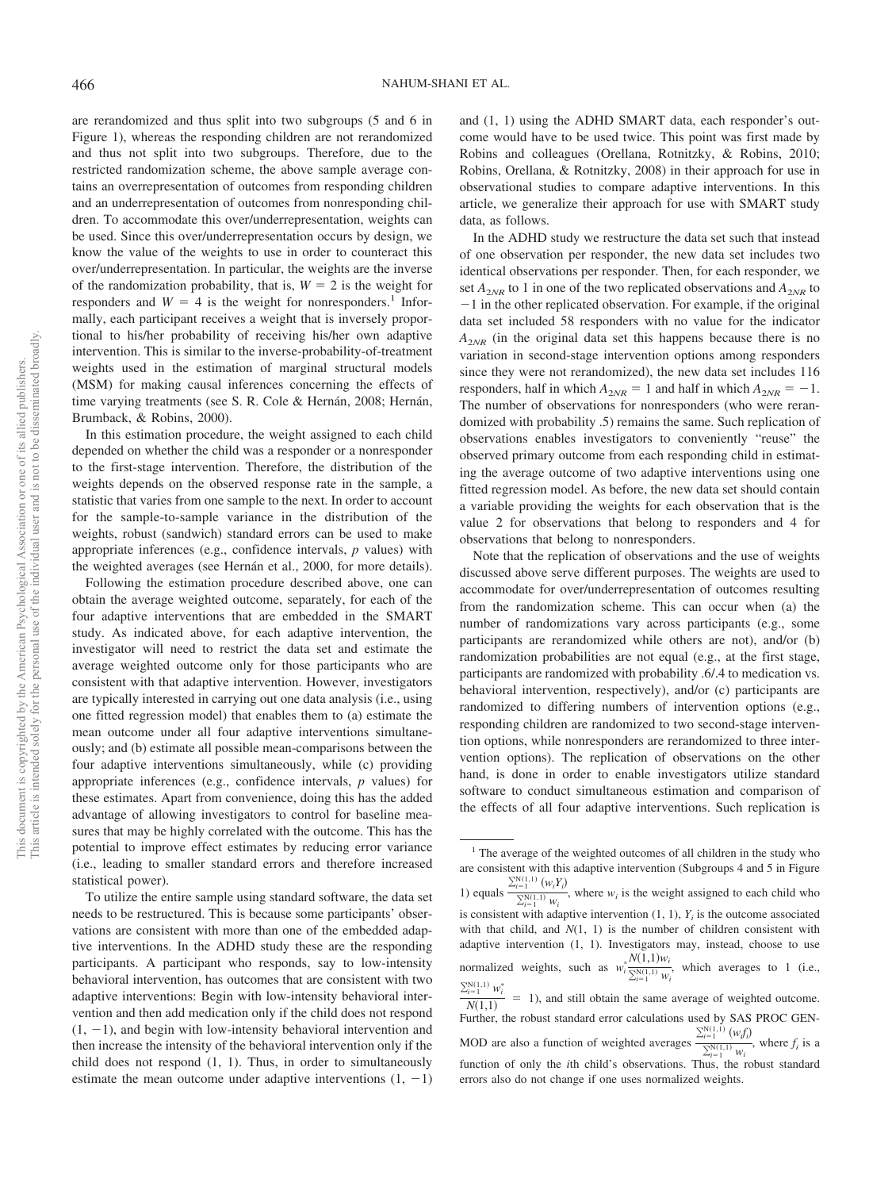are rerandomized and thus split into two subgroups (5 and 6 in Figure 1), whereas the responding children are not rerandomized and thus not split into two subgroups. Therefore, due to the restricted randomization scheme, the above sample average contains an overrepresentation of outcomes from responding children and an underrepresentation of outcomes from nonresponding children. To accommodate this over/underrepresentation, weights can be used. Since this over/underrepresentation occurs by design, we know the value of the weights to use in order to counteract this over/underrepresentation. In particular, the weights are the inverse of the randomization probability, that is,  $W = 2$  is the weight for responders and  $W = 4$  is the weight for nonresponders.<sup>1</sup> Informally, each participant receives a weight that is inversely proportional to his/her probability of receiving his/her own adaptive intervention. This is similar to the inverse-probability-of-treatment weights used in the estimation of marginal structural models (MSM) for making causal inferences concerning the effects of time varying treatments (see S. R. Cole & Hernán, 2008; Hernán, Brumback, & Robins, 2000).

In this estimation procedure, the weight assigned to each child depended on whether the child was a responder or a nonresponder to the first-stage intervention. Therefore, the distribution of the weights depends on the observed response rate in the sample, a statistic that varies from one sample to the next. In order to account for the sample-to-sample variance in the distribution of the weights, robust (sandwich) standard errors can be used to make appropriate inferences (e.g., confidence intervals, *p* values) with the weighted averages (see Hernán et al., 2000, for more details).

Following the estimation procedure described above, one can obtain the average weighted outcome, separately, for each of the four adaptive interventions that are embedded in the SMART study. As indicated above, for each adaptive intervention, the investigator will need to restrict the data set and estimate the average weighted outcome only for those participants who are consistent with that adaptive intervention. However, investigators are typically interested in carrying out one data analysis (i.e., using one fitted regression model) that enables them to (a) estimate the mean outcome under all four adaptive interventions simultaneously; and (b) estimate all possible mean-comparisons between the four adaptive interventions simultaneously, while (c) providing appropriate inferences (e.g., confidence intervals, *p* values) for these estimates. Apart from convenience, doing this has the added advantage of allowing investigators to control for baseline measures that may be highly correlated with the outcome. This has the potential to improve effect estimates by reducing error variance (i.e., leading to smaller standard errors and therefore increased statistical power).

To utilize the entire sample using standard software, the data set needs to be restructured. This is because some participants' observations are consistent with more than one of the embedded adaptive interventions. In the ADHD study these are the responding participants. A participant who responds, say to low-intensity behavioral intervention, has outcomes that are consistent with two adaptive interventions: Begin with low-intensity behavioral intervention and then add medication only if the child does not respond  $(1, -1)$ , and begin with low-intensity behavioral intervention and then increase the intensity of the behavioral intervention only if the child does not respond (1, 1). Thus, in order to simultaneously estimate the mean outcome under adaptive interventions  $(1, -1)$ 

and (1, 1) using the ADHD SMART data, each responder's outcome would have to be used twice. This point was first made by Robins and colleagues (Orellana, Rotnitzky, & Robins, 2010; Robins, Orellana, & Rotnitzky, 2008) in their approach for use in observational studies to compare adaptive interventions. In this article, we generalize their approach for use with SMART study data, as follows.

In the ADHD study we restructure the data set such that instead of one observation per responder, the new data set includes two identical observations per responder. Then, for each responder, we set  $A_{2NR}$  to 1 in one of the two replicated observations and  $A_{2NR}$  to -1 in the other replicated observation. For example, if the original data set included 58 responders with no value for the indicator  $A_{2NR}$  (in the original data set this happens because there is no variation in second-stage intervention options among responders since they were not rerandomized), the new data set includes 116 responders, half in which  $A_{2NR} = 1$  and half in which  $A_{2NR} = -1$ . The number of observations for nonresponders (who were rerandomized with probability .5) remains the same. Such replication of observations enables investigators to conveniently "reuse" the observed primary outcome from each responding child in estimating the average outcome of two adaptive interventions using one fitted regression model. As before, the new data set should contain a variable providing the weights for each observation that is the value 2 for observations that belong to responders and 4 for observations that belong to nonresponders.

Note that the replication of observations and the use of weights discussed above serve different purposes. The weights are used to accommodate for over/underrepresentation of outcomes resulting from the randomization scheme. This can occur when (a) the number of randomizations vary across participants (e.g., some participants are rerandomized while others are not), and/or (b) randomization probabilities are not equal (e.g., at the first stage, participants are randomized with probability .6/.4 to medication vs. behavioral intervention, respectively), and/or (c) participants are randomized to differing numbers of intervention options (e.g., responding children are randomized to two second-stage intervention options, while nonresponders are rerandomized to three intervention options). The replication of observations on the other hand, is done in order to enable investigators utilize standard software to conduct simultaneous estimation and comparison of the effects of all four adaptive interventions. Such replication is

<sup>&</sup>lt;sup>1</sup> The average of the weighted outcomes of all children in the study who are consistent with this adaptive intervention (Subgroups 4 and 5 in Figure  $\sum_{i=1}^{N(1,1)} (w_i Y_i)$ 

<sup>1)</sup> equals  $\sum_{i=1}^{i-1} \frac{N(1,1)}{w_i}$ , where  $w_i$  is the weight assigned to each child who is consistent with adaptive intervention  $(1, 1)$ ,  $Y_i$  is the outcome associated with that child, and  $N(1, 1)$  is the number of children consistent with adaptive intervention (1, 1). Investigators may, instead, choose to use normalized weights, such as  $w_i^* \frac{N(1,1)w_i}{N(1,1)w_i}$  $\sum_{i=1}^{N(1,1)}$  *w<sub>i</sub>*, which averages to 1 (i.e.,

 $\frac{\sum_{i=1}^{N(1,1)} w_i^*}{N(1,1)}$  = 1), and still obtain the same average of weighted outcome.

Further, the robust standard error calculations used by SAS PROC GEN-MOD are also a function of weighted averages  $\frac{\sum_{i=1}^{N(1,1)} (w_i f_i)}{N(1,1)}$  $\frac{\sum_{i=1}^{N(1,1)} w_i}{\sum_{i=1}^{N(1,1)} w_i}$ , where  $f_i$  is a function of only the *i*th child's observations. Thus, the robust standard errors also do not change if one uses normalized weights.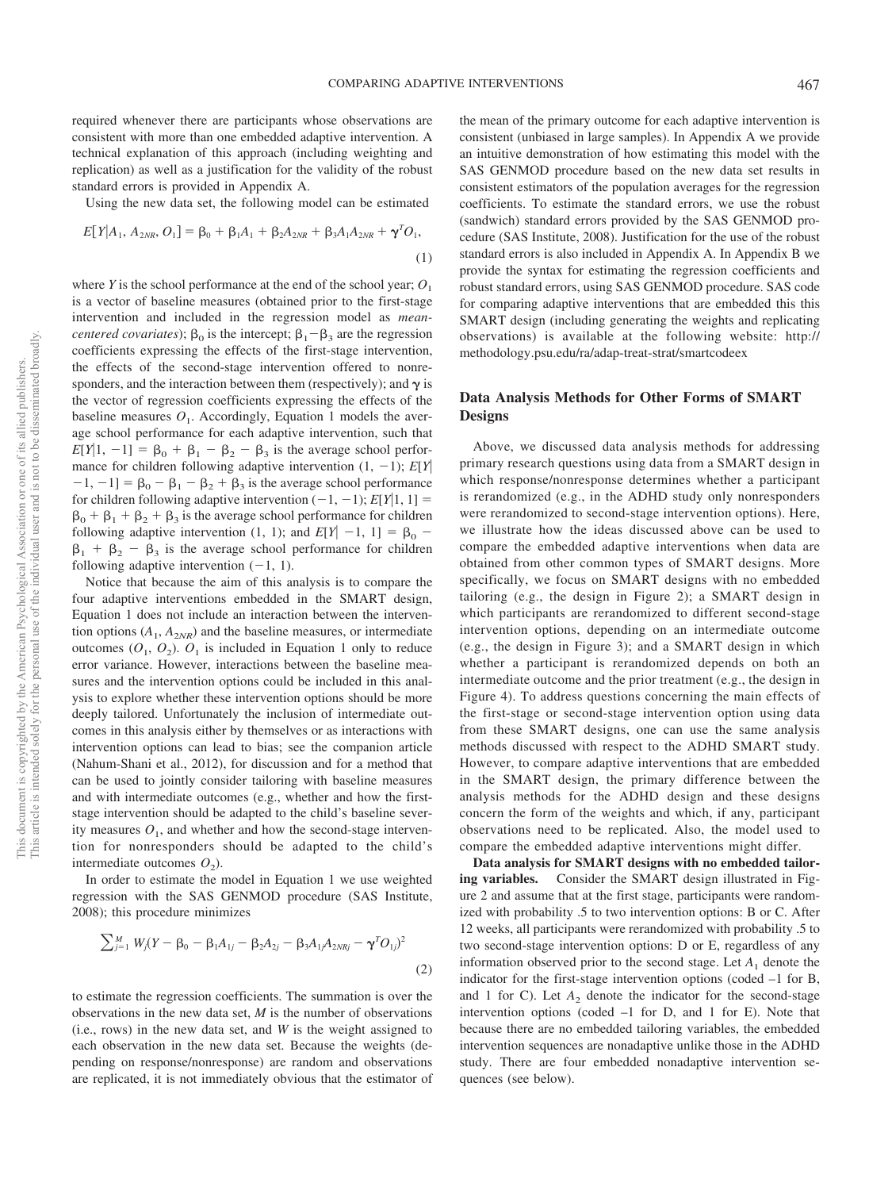required whenever there are participants whose observations are consistent with more than one embedded adaptive intervention. A technical explanation of this approach (including weighting and replication) as well as a justification for the validity of the robust standard errors is provided in Appendix A.

Using the new data set, the following model can be estimated

$$
E[Y|A_1, A_{2NR}, O_1] = \beta_0 + \beta_1 A_1 + \beta_2 A_{2NR} + \beta_3 A_1 A_{2NR} + \gamma^T O_1,
$$
\n(1)

where *Y* is the school performance at the end of the school year;  $O_1$ is a vector of baseline measures (obtained prior to the first-stage intervention and included in the regression model as *meancentered covariates*);  $\beta_0$  is the intercept;  $\beta_1 - \beta_3$  are the regression coefficients expressing the effects of the first-stage intervention, the effects of the second-stage intervention offered to nonresponders, and the interaction between them (respectively); and  $\gamma$  is the vector of regression coefficients expressing the effects of the baseline measures  $O_1$ . Accordingly, Equation 1 models the average school performance for each adaptive intervention, such that  $E[Y|1, -1] = \beta_0 + \beta_1 - \beta_2 - \beta_3$  is the average school performance for children following adaptive intervention  $(1, -1)$ ;  $E[Y]$  $-1$ ,  $-1$ ] =  $\beta_0 - \beta_1 - \beta_2 + \beta_3$  is the average school performance for children following adaptive intervention  $(-1, -1)$ ;  $E[Y|1, 1] =$  $\beta_0 + \beta_1 + \beta_2 + \beta_3$  is the average school performance for children following adaptive intervention (1, 1); and  $E[Y] - 1$ , 1] =  $\beta_0$  –  $\beta_1 + \beta_2 - \beta_3$  is the average school performance for children following adaptive intervention  $(-1, 1)$ .

Notice that because the aim of this analysis is to compare the four adaptive interventions embedded in the SMART design, Equation 1 does not include an interaction between the intervention options  $(A_1, A_{2NR})$  and the baseline measures, or intermediate outcomes  $(O_1, O_2)$ .  $O_1$  is included in Equation 1 only to reduce error variance. However, interactions between the baseline measures and the intervention options could be included in this analysis to explore whether these intervention options should be more deeply tailored. Unfortunately the inclusion of intermediate outcomes in this analysis either by themselves or as interactions with intervention options can lead to bias; see the companion article (Nahum-Shani et al., 2012), for discussion and for a method that can be used to jointly consider tailoring with baseline measures and with intermediate outcomes (e.g., whether and how the firststage intervention should be adapted to the child's baseline severity measures  $O_1$ , and whether and how the second-stage intervention for nonresponders should be adapted to the child's intermediate outcomes  $O_2$ ).

In order to estimate the model in Equation 1 we use weighted regression with the SAS GENMOD procedure (SAS Institute, 2008); this procedure minimizes

$$
\sum_{j=1}^{M} W_j (Y - \beta_0 - \beta_1 A_{1j} - \beta_2 A_{2j} - \beta_3 A_{1j} A_{2NRj} - \gamma^T O_{1j})^2
$$
\n(2)

to estimate the regression coefficients. The summation is over the observations in the new data set, *M* is the number of observations (i.e., rows) in the new data set, and *W* is the weight assigned to each observation in the new data set. Because the weights (depending on response/nonresponse) are random and observations are replicated, it is not immediately obvious that the estimator of the mean of the primary outcome for each adaptive intervention is consistent (unbiased in large samples). In Appendix A we provide an intuitive demonstration of how estimating this model with the SAS GENMOD procedure based on the new data set results in consistent estimators of the population averages for the regression coefficients. To estimate the standard errors, we use the robust (sandwich) standard errors provided by the SAS GENMOD procedure (SAS Institute, 2008). Justification for the use of the robust standard errors is also included in Appendix A. In Appendix B we provide the syntax for estimating the regression coefficients and robust standard errors, using SAS GENMOD procedure. SAS code for comparing adaptive interventions that are embedded this this SMART design (including generating the weights and replicating observations) is available at the following website: http:// methodology.psu.edu/ra/adap-treat-strat/smartcodeex

# **Data Analysis Methods for Other Forms of SMART Designs**

Above, we discussed data analysis methods for addressing primary research questions using data from a SMART design in which response/nonresponse determines whether a participant is rerandomized (e.g., in the ADHD study only nonresponders were rerandomized to second-stage intervention options). Here, we illustrate how the ideas discussed above can be used to compare the embedded adaptive interventions when data are obtained from other common types of SMART designs. More specifically, we focus on SMART designs with no embedded tailoring (e.g., the design in Figure 2); a SMART design in which participants are rerandomized to different second-stage intervention options, depending on an intermediate outcome (e.g., the design in Figure 3); and a SMART design in which whether a participant is rerandomized depends on both an intermediate outcome and the prior treatment (e.g., the design in Figure 4). To address questions concerning the main effects of the first-stage or second-stage intervention option using data from these SMART designs, one can use the same analysis methods discussed with respect to the ADHD SMART study. However, to compare adaptive interventions that are embedded in the SMART design, the primary difference between the analysis methods for the ADHD design and these designs concern the form of the weights and which, if any, participant observations need to be replicated. Also, the model used to compare the embedded adaptive interventions might differ.

**Data analysis for SMART designs with no embedded tailoring variables.** Consider the SMART design illustrated in Figure 2 and assume that at the first stage, participants were randomized with probability .5 to two intervention options: B or C. After 12 weeks, all participants were rerandomized with probability .5 to two second-stage intervention options: D or E, regardless of any information observed prior to the second stage. Let  $A_1$  denote the indicator for the first-stage intervention options (coded –1 for B, and 1 for C). Let  $A_2$  denote the indicator for the second-stage intervention options (coded –1 for D, and 1 for E). Note that because there are no embedded tailoring variables, the embedded intervention sequences are nonadaptive unlike those in the ADHD study. There are four embedded nonadaptive intervention sequences (see below).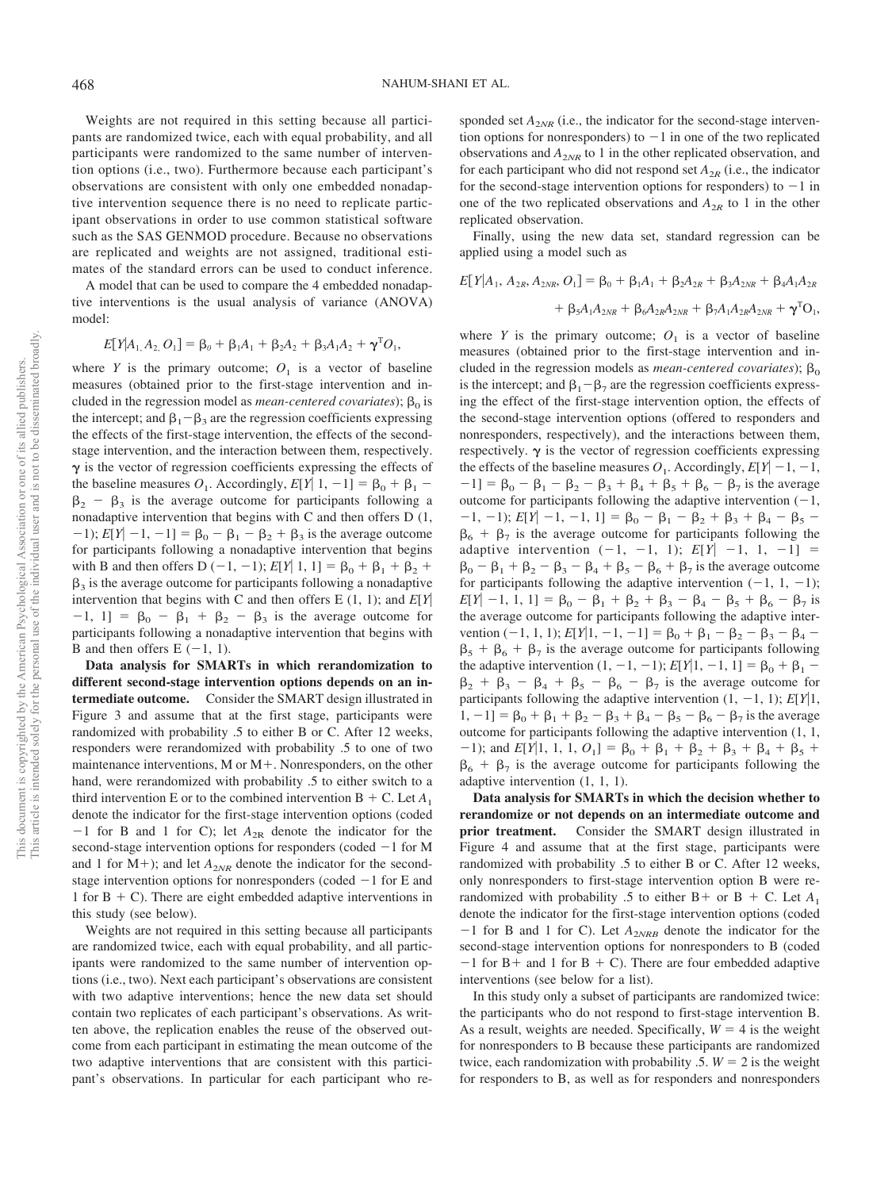Weights are not required in this setting because all participants are randomized twice, each with equal probability, and all participants were randomized to the same number of intervention options (i.e., two). Furthermore because each participant's observations are consistent with only one embedded nonadaptive intervention sequence there is no need to replicate participant observations in order to use common statistical software such as the SAS GENMOD procedure. Because no observations are replicated and weights are not assigned, traditional estimates of the standard errors can be used to conduct inference.

A model that can be used to compare the 4 embedded nonadaptive interventions is the usual analysis of variance (ANOVA) model:

$$
E[Y|A_{1}, A_{2}, O_{1}] = \beta_{0} + \beta_{1}A_{1} + \beta_{2}A_{2} + \beta_{3}A_{1}A_{2} + \gamma^{T}O_{1},
$$

where *Y* is the primary outcome;  $O_1$  is a vector of baseline measures (obtained prior to the first-stage intervention and included in the regression model as *mean-centered covariates*);  $\beta_0$  is the intercept; and  $\beta_1 - \beta_3$  are the regression coefficients expressing the effects of the first-stage intervention, the effects of the secondstage intervention, and the interaction between them, respectively.  $\gamma$  is the vector of regression coefficients expressing the effects of the baseline measures  $O_1$ . Accordingly,  $E[Y| 1, -1] = \beta_0 + \beta_1 \beta_2$  -  $\beta_3$  is the average outcome for participants following a nonadaptive intervention that begins with C and then offers D (1,  $-1$ ;  $E[Y] - 1$ ,  $-1$ ] =  $\beta_0 - \beta_1 - \beta_2 + \beta_3$  is the average outcome for participants following a nonadaptive intervention that begins with B and then offers D  $(-1, -1)$ ;  $E[Y| 1, 1] = \beta_0 + \beta_1 + \beta_2 + \beta_3$  $\beta_3$  is the average outcome for participants following a nonadaptive intervention that begins with C and then offers E (1, 1); and *E*[*Y*-  $-1$ ,  $1$ ] =  $\beta_0$  -  $\beta_1$  +  $\beta_2$  -  $\beta_3$  is the average outcome for participants following a nonadaptive intervention that begins with B and then offers  $E(-1, 1)$ .

**Data analysis for SMARTs in which rerandomization to different second-stage intervention options depends on an intermediate outcome.** Consider the SMART design illustrated in Figure 3 and assume that at the first stage, participants were randomized with probability .5 to either B or C. After 12 weeks, responders were rerandomized with probability .5 to one of two maintenance interventions,  $M$  or  $M<sup>+</sup>$ . Nonresponders, on the other hand, were rerandomized with probability .5 to either switch to a third intervention E or to the combined intervention  $B + C$ . Let  $A_1$ denote the indicator for the first-stage intervention options (coded  $-1$  for B and 1 for C); let  $A_{2R}$  denote the indicator for the second-stage intervention options for responders (coded  $-1$  for M and 1 for  $M$ +); and let  $A_{2NR}$  denote the indicator for the secondstage intervention options for nonresponders (coded  $-1$  for E and 1 for  $B + C$ ). There are eight embedded adaptive interventions in this study (see below).

Weights are not required in this setting because all participants are randomized twice, each with equal probability, and all participants were randomized to the same number of intervention options (i.e., two). Next each participant's observations are consistent with two adaptive interventions; hence the new data set should contain two replicates of each participant's observations. As written above, the replication enables the reuse of the observed outcome from each participant in estimating the mean outcome of the two adaptive interventions that are consistent with this participant's observations. In particular for each participant who responded set  $A_{2NR}$  (i.e., the indicator for the second-stage intervention options for nonresponders) to  $-1$  in one of the two replicated observations and  $A_{2NR}$  to 1 in the other replicated observation, and for each participant who did not respond set  $A_{2R}$  (i.e., the indicator for the second-stage intervention options for responders) to  $-1$  in one of the two replicated observations and  $A_{2R}$  to 1 in the other replicated observation.

Finally, using the new data set, standard regression can be applied using a model such as

$$
E[Y|A_1, A_{2R}, A_{2NR}, O_1] = \beta_0 + \beta_1 A_1 + \beta_2 A_{2R} + \beta_3 A_{2NR} + \beta_4 A_1 A_{2R}
$$
  
+  $\beta_5 A_1 A_{2NR} + \beta_6 A_{2R} A_{2NR} + \beta_7 A_1 A_{2R} A_{2NR} + \gamma^T O_1$ ,

where *Y* is the primary outcome;  $O_1$  is a vector of baseline measures (obtained prior to the first-stage intervention and included in the regression models as *mean-centered covariates*);  $\beta_0$ is the intercept; and  $\beta_1 - \beta_7$  are the regression coefficients expressing the effect of the first-stage intervention option, the effects of the second-stage intervention options (offered to responders and nonresponders, respectively), and the interactions between them, respectively.  $\gamma$  is the vector of regression coefficients expressing the effects of the baseline measures  $O_1$ . Accordingly,  $E[Y] - 1$ ,  $-1$ ,  $-1$ ] =  $\beta_0 - \beta_1 - \beta_2 - \beta_3 + \beta_4 + \beta_5 + \beta_6 - \beta_7$  is the average outcome for participants following the adaptive intervention  $(-1,$  $-1, -1$ ;  $E[Y] -1, -1, 1] = \beta_0 - \beta_1 - \beta_2 + \beta_3 + \beta_4 - \beta_5 \beta_6 + \beta_7$  is the average outcome for participants following the adaptive intervention  $(-1, -1, 1)$ ;  $E[Y] -1, 1, -1] =$  $\beta_0 - \beta_1 + \beta_2 - \beta_3 - \beta_4 + \beta_5 - \beta_6 + \beta_7$  is the average outcome for participants following the adaptive intervention  $(-1, 1, -1)$ ;  $E[Y] - 1$ , 1, 1] =  $\beta_0 - \beta_1 + \beta_2 + \beta_3 - \beta_4 - \beta_5 + \beta_6 - \beta_7$  is the average outcome for participants following the adaptive intervention  $(-1, 1, 1)$ ;  $E[Y|1, -1, -1] = \beta_0 + \beta_1 - \beta_2 - \beta_3 - \beta_4 \beta_5 + \beta_6 + \beta_7$  is the average outcome for participants following the adaptive intervention  $(1, -1, -1)$ ;  $E[Y|1, -1, 1] = \beta_0 + \beta_1$  $\beta_2 + \beta_3 - \beta_4 + \beta_5 - \beta_6 - \beta_7$  is the average outcome for participants following the adaptive intervention  $(1, -1, 1)$ ;  $E[Y|1,$  $[1, -1] = \beta_0 + \beta_1 + \beta_2 - \beta_3 + \beta_4 - \beta_5 - \beta_6 - \beta_7$  is the average outcome for participants following the adaptive intervention (1, 1,  $(-1)$ ; and  $E[Y|1, 1, 1, 0] = \beta_0 + \beta_1 + \beta_2 + \beta_3 + \beta_4 + \beta_5 + \beta_6$  $\beta_6 + \beta_7$  is the average outcome for participants following the adaptive intervention (1, 1, 1).

**Data analysis for SMARTs in which the decision whether to rerandomize or not depends on an intermediate outcome and prior treatment.** Consider the SMART design illustrated in Figure 4 and assume that at the first stage, participants were randomized with probability .5 to either B or C. After 12 weeks, only nonresponders to first-stage intervention option B were rerandomized with probability .5 to either  $B + or B + C$ . Let  $A_1$ denote the indicator for the first-stage intervention options (coded  $-1$  for B and 1 for C). Let  $A_{2NRB}$  denote the indicator for the second-stage intervention options for nonresponders to B (coded  $-1$  for B + and 1 for B + C). There are four embedded adaptive interventions (see below for a list).

In this study only a subset of participants are randomized twice: the participants who do not respond to first-stage intervention B. As a result, weights are needed. Specifically,  $W = 4$  is the weight for nonresponders to B because these participants are randomized twice, each randomization with probability .5.  $W = 2$  is the weight for responders to B, as well as for responders and nonresponders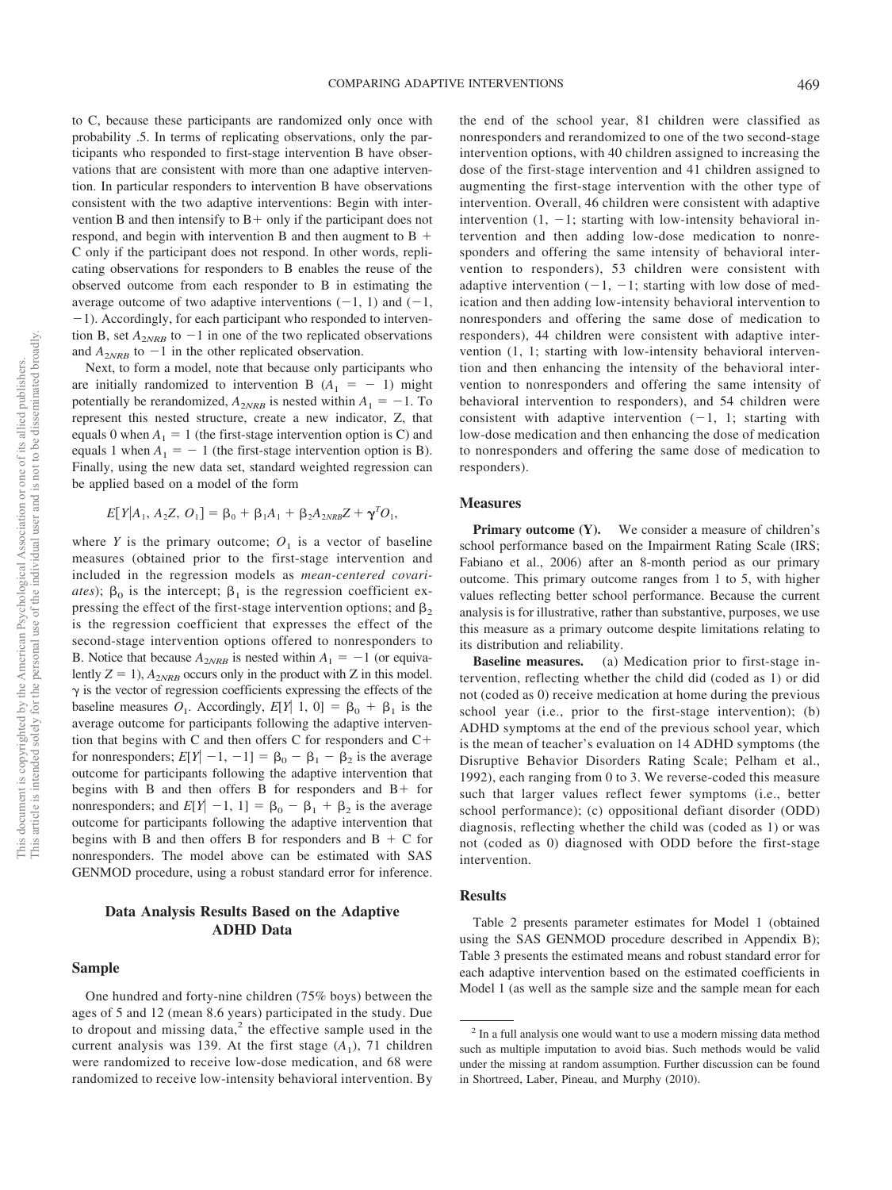to C, because these participants are randomized only once with probability .5. In terms of replicating observations, only the participants who responded to first-stage intervention B have observations that are consistent with more than one adaptive intervention. In particular responders to intervention B have observations consistent with the two adaptive interventions: Begin with intervention B and then intensify to  $B +$  only if the participant does not respond, and begin with intervention B and then augment to B C only if the participant does not respond. In other words, replicating observations for responders to B enables the reuse of the observed outcome from each responder to B in estimating the average outcome of two adaptive interventions  $(-1, 1)$  and  $(-1, 1)$ -1). Accordingly, for each participant who responded to intervention B, set  $A_{2NRB}$  to  $-1$  in one of the two replicated observations and  $A_{2NRB}$  to  $-1$  in the other replicated observation.

Next, to form a model, note that because only participants who are initially randomized to intervention B  $(A_1 = -1)$  might potentially be rerandomized,  $A_{2NRB}$  is nested within  $A_1 = -1$ . To represent this nested structure, create a new indicator, Z, that equals 0 when  $A_1 = 1$  (the first-stage intervention option is C) and equals 1 when  $A_1 = -1$  (the first-stage intervention option is B). Finally, using the new data set, standard weighted regression can be applied based on a model of the form

$$
E[Y|A_1, A_2Z, O_1] = \beta_0 + \beta_1 A_1 + \beta_2 A_{2NRB} Z + \gamma^T O_1,
$$

where *Y* is the primary outcome;  $O_1$  is a vector of baseline measures (obtained prior to the first-stage intervention and included in the regression models as *mean-centered covariates*);  $\beta_0$  is the intercept;  $\beta_1$  is the regression coefficient expressing the effect of the first-stage intervention options; and  $\beta_2$ is the regression coefficient that expresses the effect of the second-stage intervention options offered to nonresponders to B. Notice that because  $A_{2NRB}$  is nested within  $A_1 = -1$  (or equivalently  $Z = 1$ ),  $A_{2NRB}$  occurs only in the product with Z in this model.  $\gamma$  is the vector of regression coefficients expressing the effects of the baseline measures  $O_1$ . Accordingly,  $E[Y| 1, 0] = \beta_0 + \beta_1$  is the average outcome for participants following the adaptive intervention that begins with C and then offers C for responders and C for nonresponders;  $E[Y] - 1$ ,  $-1$ ] =  $\beta_0 - \beta_1 - \beta_2$  is the average outcome for participants following the adaptive intervention that begins with B and then offers B for responders and  $B +$  for nonresponders; and  $E[Y] - 1$ ,  $1] = \beta_0 - \beta_1 + \beta_2$  is the average outcome for participants following the adaptive intervention that begins with B and then offers B for responders and  $B + C$  for nonresponders. The model above can be estimated with SAS GENMOD procedure, using a robust standard error for inference.

# **Data Analysis Results Based on the Adaptive ADHD Data**

## **Sample**

One hundred and forty-nine children (75% boys) between the ages of 5 and 12 (mean 8.6 years) participated in the study. Due to dropout and missing data, $2$  the effective sample used in the current analysis was 139. At the first stage  $(A_1)$ , 71 children were randomized to receive low-dose medication, and 68 were randomized to receive low-intensity behavioral intervention. By

the end of the school year, 81 children were classified as nonresponders and rerandomized to one of the two second-stage intervention options, with 40 children assigned to increasing the dose of the first-stage intervention and 41 children assigned to augmenting the first-stage intervention with the other type of intervention. Overall, 46 children were consistent with adaptive intervention  $(1, -1)$ ; starting with low-intensity behavioral intervention and then adding low-dose medication to nonresponders and offering the same intensity of behavioral intervention to responders), 53 children were consistent with adaptive intervention  $(-1, -1;$  starting with low dose of medication and then adding low-intensity behavioral intervention to nonresponders and offering the same dose of medication to responders), 44 children were consistent with adaptive intervention (1, 1; starting with low-intensity behavioral intervention and then enhancing the intensity of the behavioral intervention to nonresponders and offering the same intensity of behavioral intervention to responders), and 54 children were consistent with adaptive intervention  $(-1, 1;$  starting with low-dose medication and then enhancing the dose of medication to nonresponders and offering the same dose of medication to responders).

## **Measures**

**Primary outcome (Y).** We consider a measure of children's school performance based on the Impairment Rating Scale (IRS; Fabiano et al., 2006) after an 8-month period as our primary outcome. This primary outcome ranges from 1 to 5, with higher values reflecting better school performance. Because the current analysis is for illustrative, rather than substantive, purposes, we use this measure as a primary outcome despite limitations relating to its distribution and reliability.

**Baseline measures.** (a) Medication prior to first-stage intervention, reflecting whether the child did (coded as 1) or did not (coded as 0) receive medication at home during the previous school year (i.e., prior to the first-stage intervention); (b) ADHD symptoms at the end of the previous school year, which is the mean of teacher's evaluation on 14 ADHD symptoms (the Disruptive Behavior Disorders Rating Scale; Pelham et al., 1992), each ranging from 0 to 3. We reverse-coded this measure such that larger values reflect fewer symptoms (i.e., better school performance); (c) oppositional defiant disorder (ODD) diagnosis, reflecting whether the child was (coded as 1) or was not (coded as 0) diagnosed with ODD before the first-stage intervention.

# **Results**

Table 2 presents parameter estimates for Model 1 (obtained using the SAS GENMOD procedure described in Appendix B); Table 3 presents the estimated means and robust standard error for each adaptive intervention based on the estimated coefficients in Model 1 (as well as the sample size and the sample mean for each

<sup>&</sup>lt;sup>2</sup> In a full analysis one would want to use a modern missing data method such as multiple imputation to avoid bias. Such methods would be valid under the missing at random assumption. Further discussion can be found in Shortreed, Laber, Pineau, and Murphy (2010).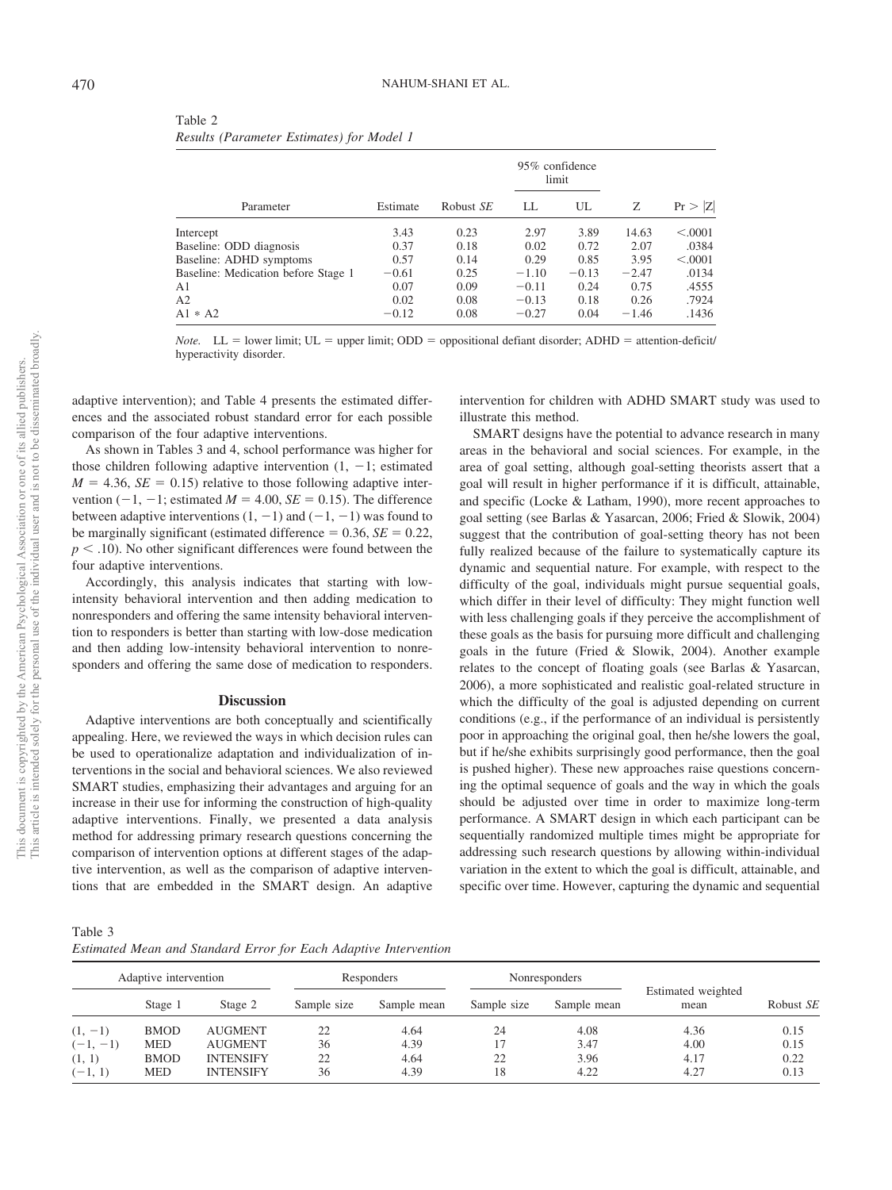|                                     |          |           | 95% confidence<br>limit |         |         |         |
|-------------------------------------|----------|-----------|-------------------------|---------|---------|---------|
| Parameter                           | Estimate | Robust SE | LL                      | UL      | Ζ       | Pr >  Z |
| Intercept                           | 3.43     | 0.23      | 2.97                    | 3.89    | 14.63   | < .0001 |
| Baseline: ODD diagnosis             | 0.37     | 0.18      | 0.02                    | 0.72    | 2.07    | .0384   |
| Baseline: ADHD symptoms             | 0.57     | 0.14      | 0.29                    | 0.85    | 3.95    | < .0001 |
| Baseline: Medication before Stage 1 | $-0.61$  | 0.25      | $-1.10$                 | $-0.13$ | $-2.47$ | .0134   |
| A1                                  | 0.07     | 0.09      | $-0.11$                 | 0.24    | 0.75    | .4555   |
| A2                                  | 0.02     | 0.08      | $-0.13$                 | 0.18    | 0.26    | .7924   |
| $A1 * A2$                           | $-0.12$  | 0.08      | $-0.27$                 | 0.04    | $-1.46$ | .1436   |

Table 2 *Results (Parameter Estimates) for Model 1*

*Note.* LL = lower limit; UL = upper limit; ODD = oppositional defiant disorder; ADHD = attention-deficit/ hyperactivity disorder.

adaptive intervention); and Table 4 presents the estimated differences and the associated robust standard error for each possible comparison of the four adaptive interventions.

intervention for children with ADHD SMART study was used to illustrate this method.

As shown in Tables 3 and 4, school performance was higher for those children following adaptive intervention  $(1, -1)$ ; estimated  $M = 4.36$ ,  $SE = 0.15$ ) relative to those following adaptive intervention  $(-1, -1)$ ; estimated  $M = 4.00$ ,  $SE = 0.15$ ). The difference between adaptive interventions  $(1, -1)$  and  $(-1, -1)$  was found to be marginally significant (estimated difference  $= 0.36$ ,  $SE = 0.22$ ,  $p < .10$ ). No other significant differences were found between the four adaptive interventions.

Accordingly, this analysis indicates that starting with lowintensity behavioral intervention and then adding medication to nonresponders and offering the same intensity behavioral intervention to responders is better than starting with low-dose medication and then adding low-intensity behavioral intervention to nonresponders and offering the same dose of medication to responders.

#### **Discussion**

Adaptive interventions are both conceptually and scientifically appealing. Here, we reviewed the ways in which decision rules can be used to operationalize adaptation and individualization of interventions in the social and behavioral sciences. We also reviewed SMART studies, emphasizing their advantages and arguing for an increase in their use for informing the construction of high-quality adaptive interventions. Finally, we presented a data analysis method for addressing primary research questions concerning the comparison of intervention options at different stages of the adaptive intervention, as well as the comparison of adaptive interventions that are embedded in the SMART design. An adaptive

SMART designs have the potential to advance research in many areas in the behavioral and social sciences. For example, in the area of goal setting, although goal-setting theorists assert that a goal will result in higher performance if it is difficult, attainable, and specific (Locke & Latham, 1990), more recent approaches to goal setting (see Barlas & Yasarcan, 2006; Fried & Slowik, 2004) suggest that the contribution of goal-setting theory has not been fully realized because of the failure to systematically capture its dynamic and sequential nature. For example, with respect to the difficulty of the goal, individuals might pursue sequential goals, which differ in their level of difficulty: They might function well with less challenging goals if they perceive the accomplishment of these goals as the basis for pursuing more difficult and challenging goals in the future (Fried & Slowik, 2004). Another example relates to the concept of floating goals (see Barlas & Yasarcan, 2006), a more sophisticated and realistic goal-related structure in which the difficulty of the goal is adjusted depending on current conditions (e.g., if the performance of an individual is persistently poor in approaching the original goal, then he/she lowers the goal, but if he/she exhibits surprisingly good performance, then the goal is pushed higher). These new approaches raise questions concerning the optimal sequence of goals and the way in which the goals should be adjusted over time in order to maximize long-term performance. A SMART design in which each participant can be sequentially randomized multiple times might be appropriate for addressing such research questions by allowing within-individual variation in the extent to which the goal is difficult, attainable, and specific over time. However, capturing the dynamic and sequential

Table 3 *Estimated Mean and Standard Error for Each Adaptive Intervention*

| Adaptive intervention |             | Responders       |             |             | Nonresponders |             |                            |           |
|-----------------------|-------------|------------------|-------------|-------------|---------------|-------------|----------------------------|-----------|
|                       | Stage 1     | Stage 2          | Sample size | Sample mean | Sample size   | Sample mean | Estimated weighted<br>mean | Robust SE |
| $(1, -1)$             | <b>BMOD</b> | <b>AUGMENT</b>   | 22          | 4.64        | 24            | 4.08        | 4.36                       | 0.15      |
| $(-1, -1)$            | <b>MED</b>  | <b>AUGMENT</b>   | 36          | 4.39        |               | 3.47        | 4.00                       | 0.15      |
| (1, 1)                | <b>BMOD</b> | <b>INTENSIFY</b> | 22          | 4.64        | 22            | 3.96        | 4.17                       | 0.22      |
| $(-1, 1)$             | <b>MED</b>  | <b>INTENSIFY</b> | 36          | 4.39        | 18            | 4.22        | 4.27                       | 0.13      |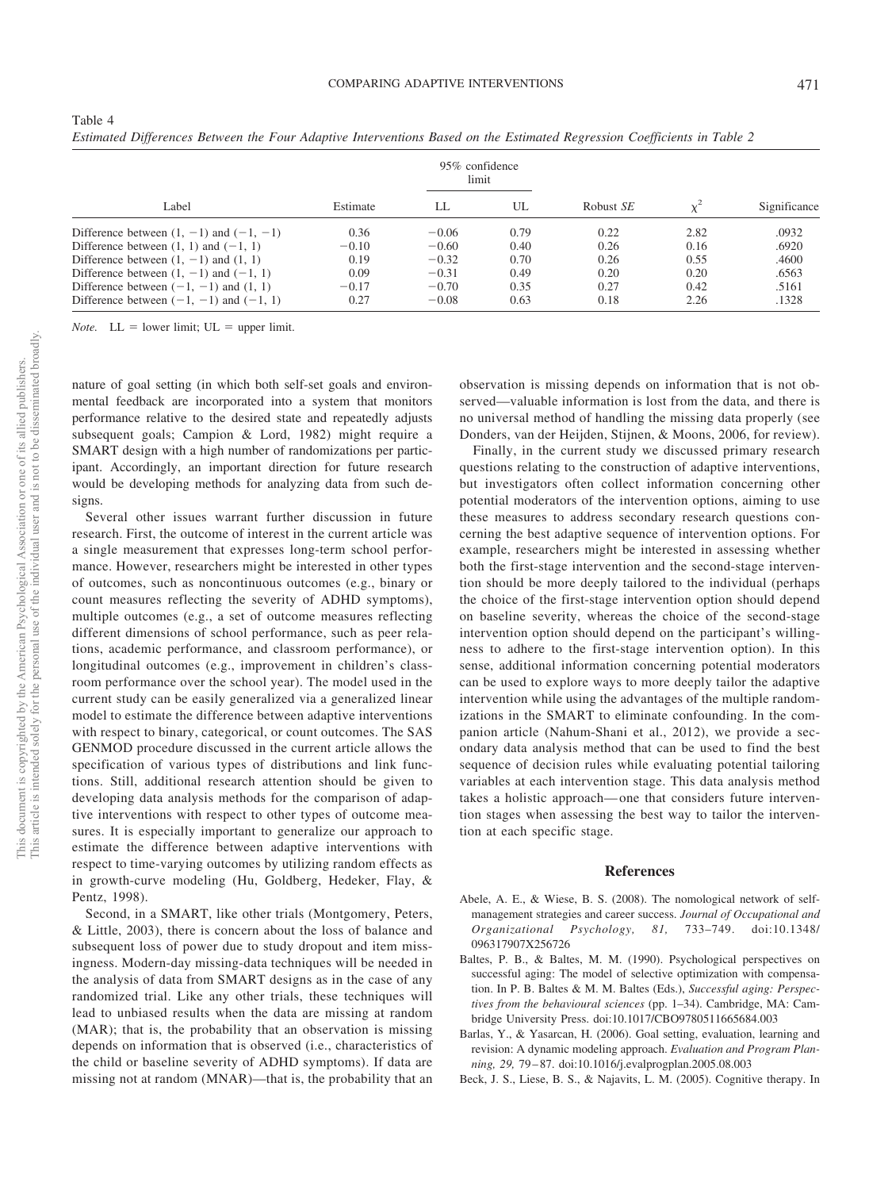| Label                                       |          | 95% confidence<br>limit |      |           |          |              |
|---------------------------------------------|----------|-------------------------|------|-----------|----------|--------------|
|                                             | Estimate | LL.                     | UL   | Robust SE | $\chi^2$ | Significance |
| Difference between $(1, -1)$ and $(-1, -1)$ | 0.36     | $-0.06$                 | 0.79 | 0.22      | 2.82     | .0932        |
| Difference between $(1, 1)$ and $(-1, 1)$   | $-0.10$  | $-0.60$                 | 0.40 | 0.26      | 0.16     | .6920        |
| Difference between $(1, -1)$ and $(1, 1)$   | 0.19     | $-0.32$                 | 0.70 | 0.26      | 0.55     | .4600        |
| Difference between $(1, -1)$ and $(-1, 1)$  | 0.09     | $-0.31$                 | 0.49 | 0.20      | 0.20     | .6563        |
| Difference between $(-1, -1)$ and $(1, 1)$  | $-0.17$  | $-0.70$                 | 0.35 | 0.27      | 0.42     | .5161        |
| Difference between $(-1, -1)$ and $(-1, 1)$ | 0.27     | $-0.08$                 | 0.63 | 0.18      | 2.26     | .1328        |

Table 4 *Estimated Differences Between the Four Adaptive Interventions Based on the Estimated Regression Coefficients in Table 2*

*Note.*  $LL = lower limit; UL = upper limit.$ 

nature of goal setting (in which both self-set goals and environmental feedback are incorporated into a system that monitors performance relative to the desired state and repeatedly adjusts subsequent goals; Campion & Lord, 1982) might require a SMART design with a high number of randomizations per participant. Accordingly, an important direction for future research would be developing methods for analyzing data from such designs.

Several other issues warrant further discussion in future research. First, the outcome of interest in the current article was a single measurement that expresses long-term school performance. However, researchers might be interested in other types of outcomes, such as noncontinuous outcomes (e.g., binary or count measures reflecting the severity of ADHD symptoms), multiple outcomes (e.g., a set of outcome measures reflecting different dimensions of school performance, such as peer relations, academic performance, and classroom performance), or longitudinal outcomes (e.g., improvement in children's classroom performance over the school year). The model used in the current study can be easily generalized via a generalized linear model to estimate the difference between adaptive interventions with respect to binary, categorical, or count outcomes. The SAS GENMOD procedure discussed in the current article allows the specification of various types of distributions and link functions. Still, additional research attention should be given to developing data analysis methods for the comparison of adaptive interventions with respect to other types of outcome measures. It is especially important to generalize our approach to estimate the difference between adaptive interventions with respect to time-varying outcomes by utilizing random effects as in growth-curve modeling (Hu, Goldberg, Hedeker, Flay, & Pentz, 1998).

Second, in a SMART, like other trials (Montgomery, Peters, & Little, 2003), there is concern about the loss of balance and subsequent loss of power due to study dropout and item missingness. Modern-day missing-data techniques will be needed in the analysis of data from SMART designs as in the case of any randomized trial. Like any other trials, these techniques will lead to unbiased results when the data are missing at random (MAR); that is, the probability that an observation is missing depends on information that is observed (i.e., characteristics of the child or baseline severity of ADHD symptoms). If data are missing not at random (MNAR)—that is, the probability that an observation is missing depends on information that is not observed—valuable information is lost from the data, and there is no universal method of handling the missing data properly (see Donders, van der Heijden, Stijnen, & Moons, 2006, for review).

Finally, in the current study we discussed primary research questions relating to the construction of adaptive interventions, but investigators often collect information concerning other potential moderators of the intervention options, aiming to use these measures to address secondary research questions concerning the best adaptive sequence of intervention options. For example, researchers might be interested in assessing whether both the first-stage intervention and the second-stage intervention should be more deeply tailored to the individual (perhaps the choice of the first-stage intervention option should depend on baseline severity, whereas the choice of the second-stage intervention option should depend on the participant's willingness to adhere to the first-stage intervention option). In this sense, additional information concerning potential moderators can be used to explore ways to more deeply tailor the adaptive intervention while using the advantages of the multiple randomizations in the SMART to eliminate confounding. In the companion article (Nahum-Shani et al., 2012), we provide a secondary data analysis method that can be used to find the best sequence of decision rules while evaluating potential tailoring variables at each intervention stage. This data analysis method takes a holistic approach— one that considers future intervention stages when assessing the best way to tailor the intervention at each specific stage.

## **References**

- Abele, A. E., & Wiese, B. S. (2008). The nomological network of selfmanagement strategies and career success. *Journal of Occupational and Organizational Psychology, 81,* 733–749. doi:10.1348/ 096317907X256726
- Baltes, P. B., & Baltes, M. M. (1990). Psychological perspectives on successful aging: The model of selective optimization with compensation. In P. B. Baltes & M. M. Baltes (Eds.), *Successful aging: Perspectives from the behavioural sciences* (pp. 1–34). Cambridge, MA: Cambridge University Press. doi:10.1017/CBO9780511665684.003
- Barlas, Y., & Yasarcan, H. (2006). Goal setting, evaluation, learning and revision: A dynamic modeling approach. *Evaluation and Program Planning, 29,* 79 – 87. doi:10.1016/j.evalprogplan.2005.08.003
- Beck, J. S., Liese, B. S., & Najavits, L. M. (2005). Cognitive therapy. In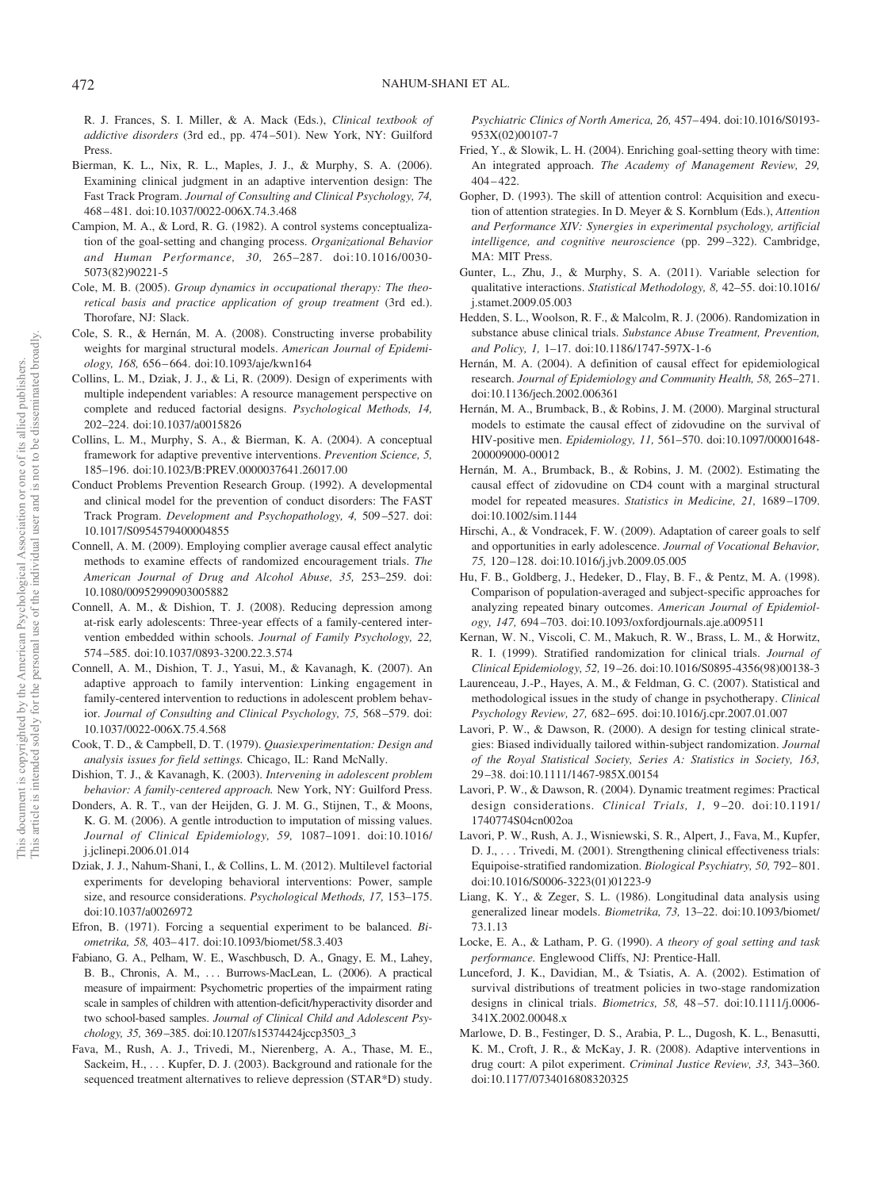R. J. Frances, S. I. Miller, & A. Mack (Eds.), *Clinical textbook of addictive disorders* (3rd ed., pp. 474 –501). New York, NY: Guilford Press.

- Bierman, K. L., Nix, R. L., Maples, J. J., & Murphy, S. A. (2006). Examining clinical judgment in an adaptive intervention design: The Fast Track Program. *Journal of Consulting and Clinical Psychology, 74,* 468 – 481. doi:10.1037/0022-006X.74.3.468
- Campion, M. A., & Lord, R. G. (1982). A control systems conceptualization of the goal-setting and changing process. *Organizational Behavior and Human Performance, 30,* 265–287. doi:10.1016/0030- 5073(82)90221-5
- Cole, M. B. (2005). *Group dynamics in occupational therapy: The theoretical basis and practice application of group treatment* (3rd ed.). Thorofare, NJ: Slack.
- Cole, S. R., & Hernán, M. A. (2008). Constructing inverse probability weights for marginal structural models. *American Journal of Epidemiology, 168,* 656 – 664. doi:10.1093/aje/kwn164
- Collins, L. M., Dziak, J. J., & Li, R. (2009). Design of experiments with multiple independent variables: A resource management perspective on complete and reduced factorial designs. *Psychological Methods, 14,* 202–224. doi:10.1037/a0015826
- Collins, L. M., Murphy, S. A., & Bierman, K. A. (2004). A conceptual framework for adaptive preventive interventions. *Prevention Science, 5,* 185–196. doi:10.1023/B:PREV.0000037641.26017.00
- Conduct Problems Prevention Research Group. (1992). A developmental and clinical model for the prevention of conduct disorders: The FAST Track Program. *Development and Psychopathology, 4,* 509 –527. doi: 10.1017/S0954579400004855
- Connell, A. M. (2009). Employing complier average causal effect analytic methods to examine effects of randomized encouragement trials. *The American Journal of Drug and Alcohol Abuse, 35,* 253–259. doi: 10.1080/00952990903005882
- Connell, A. M., & Dishion, T. J. (2008). Reducing depression among at-risk early adolescents: Three-year effects of a family-centered intervention embedded within schools. *Journal of Family Psychology, 22,* 574 –585. doi:10.1037/0893-3200.22.3.574
- Connell, A. M., Dishion, T. J., Yasui, M., & Kavanagh, K. (2007). An adaptive approach to family intervention: Linking engagement in family-centered intervention to reductions in adolescent problem behavior. *Journal of Consulting and Clinical Psychology, 75,* 568 –579. doi: 10.1037/0022-006X.75.4.568
- Cook, T. D., & Campbell, D. T. (1979). *Quasiexperimentation: Design and analysis issues for field settings.* Chicago, IL: Rand McNally.
- Dishion, T. J., & Kavanagh, K. (2003). *Intervening in adolescent problem behavior: A family-centered approach.* New York, NY: Guilford Press.
- Donders, A. R. T., van der Heijden, G. J. M. G., Stijnen, T., & Moons, K. G. M. (2006). A gentle introduction to imputation of missing values. *Journal of Clinical Epidemiology, 59,* 1087–1091. doi:10.1016/ j.jclinepi.2006.01.014
- Dziak, J. J., Nahum-Shani, I., & Collins, L. M. (2012). Multilevel factorial experiments for developing behavioral interventions: Power, sample size, and resource considerations. *Psychological Methods, 17,* 153–175. doi:10.1037/a0026972
- Efron, B. (1971). Forcing a sequential experiment to be balanced. *Biometrika, 58,* 403– 417. doi:10.1093/biomet/58.3.403
- Fabiano, G. A., Pelham, W. E., Waschbusch, D. A., Gnagy, E. M., Lahey, B. B., Chronis, A. M., . . . Burrows-MacLean, L. (2006). A practical measure of impairment: Psychometric properties of the impairment rating scale in samples of children with attention-deficit/hyperactivity disorder and two school-based samples. *Journal of Clinical Child and Adolescent Psychology, 35,* 369 –385. doi:10.1207/s15374424jccp3503\_3
- Fava, M., Rush, A. J., Trivedi, M., Nierenberg, A. A., Thase, M. E., Sackeim, H., . . . Kupfer, D. J. (2003). Background and rationale for the sequenced treatment alternatives to relieve depression (STAR\*D) study.

*Psychiatric Clinics of North America, 26,* 457– 494. doi:10.1016/S0193- 953X(02)00107-7

- Fried, Y., & Slowik, L. H. (2004). Enriching goal-setting theory with time: An integrated approach. *The Academy of Management Review, 29,*  $404 - 422.$
- Gopher, D. (1993). The skill of attention control: Acquisition and execution of attention strategies. In D. Meyer & S. Kornblum (Eds.), *Attention and Performance XIV: Synergies in experimental psychology, artificial intelligence, and cognitive neuroscience* (pp. 299 –322). Cambridge, MA: MIT Press.
- Gunter, L., Zhu, J., & Murphy, S. A. (2011). Variable selection for qualitative interactions. *Statistical Methodology, 8,* 42–55. doi:10.1016/ j.stamet.2009.05.003
- Hedden, S. L., Woolson, R. F., & Malcolm, R. J. (2006). Randomization in substance abuse clinical trials. *Substance Abuse Treatment, Prevention, and Policy, 1,* 1–17. doi:10.1186/1747-597X-1-6
- Hernán, M. A. (2004). A definition of causal effect for epidemiological research. *Journal of Epidemiology and Community Health, 58,* 265–271. doi:10.1136/jech.2002.006361
- Hernán, M. A., Brumback, B., & Robins, J. M. (2000). Marginal structural models to estimate the causal effect of zidovudine on the survival of HIV-positive men. *Epidemiology, 11,* 561–570. doi:10.1097/00001648- 200009000-00012
- Hernán, M. A., Brumback, B., & Robins, J. M. (2002). Estimating the causal effect of zidovudine on CD4 count with a marginal structural model for repeated measures. *Statistics in Medicine, 21,* 1689 –1709. doi:10.1002/sim.1144
- Hirschi, A., & Vondracek, F. W. (2009). Adaptation of career goals to self and opportunities in early adolescence. *Journal of Vocational Behavior, 75,* 120 –128. doi:10.1016/j.jvb.2009.05.005
- Hu, F. B., Goldberg, J., Hedeker, D., Flay, B. F., & Pentz, M. A. (1998). Comparison of population-averaged and subject-specific approaches for analyzing repeated binary outcomes. *American Journal of Epidemiology, 147,* 694 –703. doi:10.1093/oxfordjournals.aje.a009511
- Kernan, W. N., Viscoli, C. M., Makuch, R. W., Brass, L. M., & Horwitz, R. I. (1999). Stratified randomization for clinical trials. *Journal of Clinical Epidemiology, 52,* 19 –26. doi:10.1016/S0895-4356(98)00138-3
- Laurenceau, J.-P., Hayes, A. M., & Feldman, G. C. (2007). Statistical and methodological issues in the study of change in psychotherapy. *Clinical Psychology Review, 27,* 682– 695. doi:10.1016/j.cpr.2007.01.007
- Lavori, P. W., & Dawson, R. (2000). A design for testing clinical strategies: Biased individually tailored within-subject randomization. *Journal of the Royal Statistical Society, Series A: Statistics in Society, 163,* 29 –38. doi:10.1111/1467-985X.00154
- Lavori, P. W., & Dawson, R. (2004). Dynamic treatment regimes: Practical design considerations. *Clinical Trials, 1,* 9 –20. doi:10.1191/ 1740774S04cn002oa
- Lavori, P. W., Rush, A. J., Wisniewski, S. R., Alpert, J., Fava, M., Kupfer, D. J., . . . Trivedi, M. (2001). Strengthening clinical effectiveness trials: Equipoise-stratified randomization. *Biological Psychiatry, 50,* 792– 801. doi:10.1016/S0006-3223(01)01223-9
- Liang, K. Y., & Zeger, S. L. (1986). Longitudinal data analysis using generalized linear models. *Biometrika, 73,* 13–22. doi:10.1093/biomet/ 73.1.13
- Locke, E. A., & Latham, P. G. (1990). *A theory of goal setting and task performance.* Englewood Cliffs, NJ: Prentice-Hall.
- Lunceford, J. K., Davidian, M., & Tsiatis, A. A. (2002). Estimation of survival distributions of treatment policies in two-stage randomization designs in clinical trials. *Biometrics, 58,* 48 –57. doi:10.1111/j.0006- 341X.2002.00048.x
- Marlowe, D. B., Festinger, D. S., Arabia, P. L., Dugosh, K. L., Benasutti, K. M., Croft, J. R., & McKay, J. R. (2008). Adaptive interventions in drug court: A pilot experiment. *Criminal Justice Review, 33,* 343–360. doi:10.1177/0734016808320325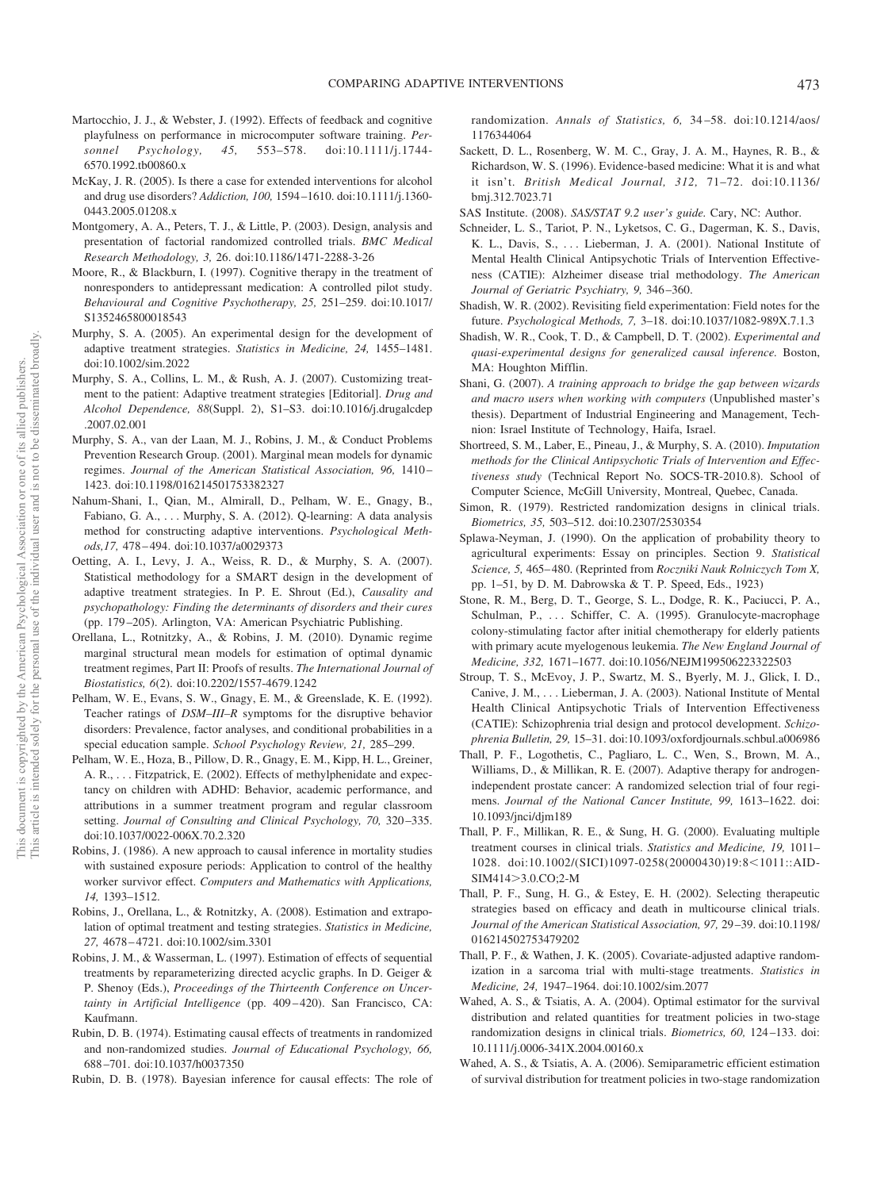- Martocchio, J. J., & Webster, J. (1992). Effects of feedback and cognitive playfulness on performance in microcomputer software training. *Personnel Psychology, 45,* 553–578. doi:10.1111/j.1744- 6570.1992.tb00860.x
- McKay, J. R. (2005). Is there a case for extended interventions for alcohol and drug use disorders? *Addiction, 100,* 1594 –1610. doi:10.1111/j.1360- 0443.2005.01208.x
- Montgomery, A. A., Peters, T. J., & Little, P. (2003). Design, analysis and presentation of factorial randomized controlled trials. *BMC Medical Research Methodology, 3,* 26. doi:10.1186/1471-2288-3-26
- Moore, R., & Blackburn, I. (1997). Cognitive therapy in the treatment of nonresponders to antidepressant medication: A controlled pilot study. *Behavioural and Cognitive Psychotherapy, 25,* 251–259. doi:10.1017/ S1352465800018543
- Murphy, S. A. (2005). An experimental design for the development of adaptive treatment strategies. *Statistics in Medicine, 24,* 1455–1481. doi:10.1002/sim.2022
- Murphy, S. A., Collins, L. M., & Rush, A. J. (2007). Customizing treatment to the patient: Adaptive treatment strategies [Editorial]. *Drug and Alcohol Dependence, 88*(Suppl. 2), S1–S3. doi:10.1016/j.drugalcdep .2007.02.001
- Murphy, S. A., van der Laan, M. J., Robins, J. M., & Conduct Problems Prevention Research Group. (2001). Marginal mean models for dynamic regimes. *Journal of the American Statistical Association, 96,* 1410 – 1423. doi:10.1198/016214501753382327
- Nahum-Shani, I., Qian, M., Almirall, D., Pelham, W. E., Gnagy, B., Fabiano, G. A., . . . Murphy, S. A. (2012). Q-learning: A data analysis method for constructing adaptive interventions. *Psychological Methods,17,* 478 – 494. doi:10.1037/a0029373
- Oetting, A. I., Levy, J. A., Weiss, R. D., & Murphy, S. A. (2007). Statistical methodology for a SMART design in the development of adaptive treatment strategies. In P. E. Shrout (Ed.), *Causality and psychopathology: Finding the determinants of disorders and their cures* (pp. 179 –205). Arlington, VA: American Psychiatric Publishing.
- Orellana, L., Rotnitzky, A., & Robins, J. M. (2010). Dynamic regime marginal structural mean models for estimation of optimal dynamic treatment regimes, Part II: Proofs of results. *The International Journal of Biostatistics, 6*(2). doi:10.2202/1557-4679.1242
- Pelham, W. E., Evans, S. W., Gnagy, E. M., & Greenslade, K. E. (1992). Teacher ratings of *DSM–III–R* symptoms for the disruptive behavior disorders: Prevalence, factor analyses, and conditional probabilities in a special education sample. *School Psychology Review, 21,* 285–299.
- Pelham, W. E., Hoza, B., Pillow, D. R., Gnagy, E. M., Kipp, H. L., Greiner, A. R., . . . Fitzpatrick, E. (2002). Effects of methylphenidate and expectancy on children with ADHD: Behavior, academic performance, and attributions in a summer treatment program and regular classroom setting. *Journal of Consulting and Clinical Psychology, 70, 320–335.* doi:10.1037/0022-006X.70.2.320
- Robins, J. (1986). A new approach to causal inference in mortality studies with sustained exposure periods: Application to control of the healthy worker survivor effect. *Computers and Mathematics with Applications, 14,* 1393–1512.
- Robins, J., Orellana, L., & Rotnitzky, A. (2008). Estimation and extrapolation of optimal treatment and testing strategies. *Statistics in Medicine, 27,* 4678 – 4721. doi:10.1002/sim.3301
- Robins, J. M., & Wasserman, L. (1997). Estimation of effects of sequential treatments by reparameterizing directed acyclic graphs. In D. Geiger & P. Shenoy (Eds.), *Proceedings of the Thirteenth Conference on Uncertainty in Artificial Intelligence* (pp. 409 – 420). San Francisco, CA: Kaufmann.
- Rubin, D. B. (1974). Estimating causal effects of treatments in randomized and non-randomized studies. *Journal of Educational Psychology, 66,* 688 –701. doi:10.1037/h0037350
- Rubin, D. B. (1978). Bayesian inference for causal effects: The role of

randomization. *Annals of Statistics, 6,* 34 –58. doi:10.1214/aos/ 1176344064

- Sackett, D. L., Rosenberg, W. M. C., Gray, J. A. M., Haynes, R. B., & Richardson, W. S. (1996). Evidence-based medicine: What it is and what it isn't. *British Medical Journal, 312,* 71–72. doi:10.1136/ bmj.312.7023.71
- SAS Institute. (2008). *SAS/STAT 9.2 user's guide.* Cary, NC: Author.
- Schneider, L. S., Tariot, P. N., Lyketsos, C. G., Dagerman, K. S., Davis, K. L., Davis, S., . . . Lieberman, J. A. (2001). National Institute of Mental Health Clinical Antipsychotic Trials of Intervention Effectiveness (CATIE): Alzheimer disease trial methodology. *The American Journal of Geriatric Psychiatry, 9,* 346 –360.
- Shadish, W. R. (2002). Revisiting field experimentation: Field notes for the future. *Psychological Methods, 7,* 3–18. doi:10.1037/1082-989X.7.1.3
- Shadish, W. R., Cook, T. D., & Campbell, D. T. (2002). *Experimental and quasi-experimental designs for generalized causal inference.* Boston, MA: Houghton Mifflin.
- Shani, G. (2007). *A training approach to bridge the gap between wizards and macro users when working with computers* (Unpublished master's thesis). Department of Industrial Engineering and Management, Technion: Israel Institute of Technology, Haifa, Israel.
- Shortreed, S. M., Laber, E., Pineau, J., & Murphy, S. A. (2010). *Imputation methods for the Clinical Antipsychotic Trials of Intervention and Effectiveness study* (Technical Report No. SOCS-TR-2010.8). School of Computer Science, McGill University, Montreal, Quebec, Canada.
- Simon, R. (1979). Restricted randomization designs in clinical trials. *Biometrics, 35,* 503–512. doi:10.2307/2530354
- Splawa-Neyman, J. (1990). On the application of probability theory to agricultural experiments: Essay on principles. Section 9. *Statistical Science, 5,* 465– 480. (Reprinted from *Roczniki Nauk Rolniczych Tom X,* pp. 1–51, by D. M. Dabrowska & T. P. Speed, Eds., 1923)
- Stone, R. M., Berg, D. T., George, S. L., Dodge, R. K., Paciucci, P. A., Schulman, P., ... Schiffer, C. A. (1995). Granulocyte-macrophage colony-stimulating factor after initial chemotherapy for elderly patients with primary acute myelogenous leukemia. *The New England Journal of Medicine, 332,* 1671–1677. doi:10.1056/NEJM199506223322503
- Stroup, T. S., McEvoy, J. P., Swartz, M. S., Byerly, M. J., Glick, I. D., Canive, J. M., . . . Lieberman, J. A. (2003). National Institute of Mental Health Clinical Antipsychotic Trials of Intervention Effectiveness (CATIE): Schizophrenia trial design and protocol development. *Schizophrenia Bulletin, 29,* 15–31. doi:10.1093/oxfordjournals.schbul.a006986
- Thall, P. F., Logothetis, C., Pagliaro, L. C., Wen, S., Brown, M. A., Williams, D., & Millikan, R. E. (2007). Adaptive therapy for androgenindependent prostate cancer: A randomized selection trial of four regimens. *Journal of the National Cancer Institute, 99,* 1613–1622. doi: 10.1093/jnci/djm189
- Thall, P. F., Millikan, R. E., & Sung, H. G. (2000). Evaluating multiple treatment courses in clinical trials. *Statistics and Medicine, 19,* 1011– 1028. doi:10.1002/(SICI)1097-0258(20000430)19:8<1011::AID-SIM4143.0.CO;2-M
- Thall, P. F., Sung, H. G., & Estey, E. H. (2002). Selecting therapeutic strategies based on efficacy and death in multicourse clinical trials. *Journal of the American Statistical Association, 97,* 29 –39. doi:10.1198/ 016214502753479202
- Thall, P. F., & Wathen, J. K. (2005). Covariate-adjusted adaptive randomization in a sarcoma trial with multi-stage treatments. *Statistics in Medicine, 24,* 1947–1964. doi:10.1002/sim.2077
- Wahed, A. S., & Tsiatis, A. A. (2004). Optimal estimator for the survival distribution and related quantities for treatment policies in two-stage randomization designs in clinical trials. *Biometrics, 60,* 124 –133. doi: 10.1111/j.0006-341X.2004.00160.x
- Wahed, A. S., & Tsiatis, A. A. (2006). Semiparametric efficient estimation of survival distribution for treatment policies in two-stage randomization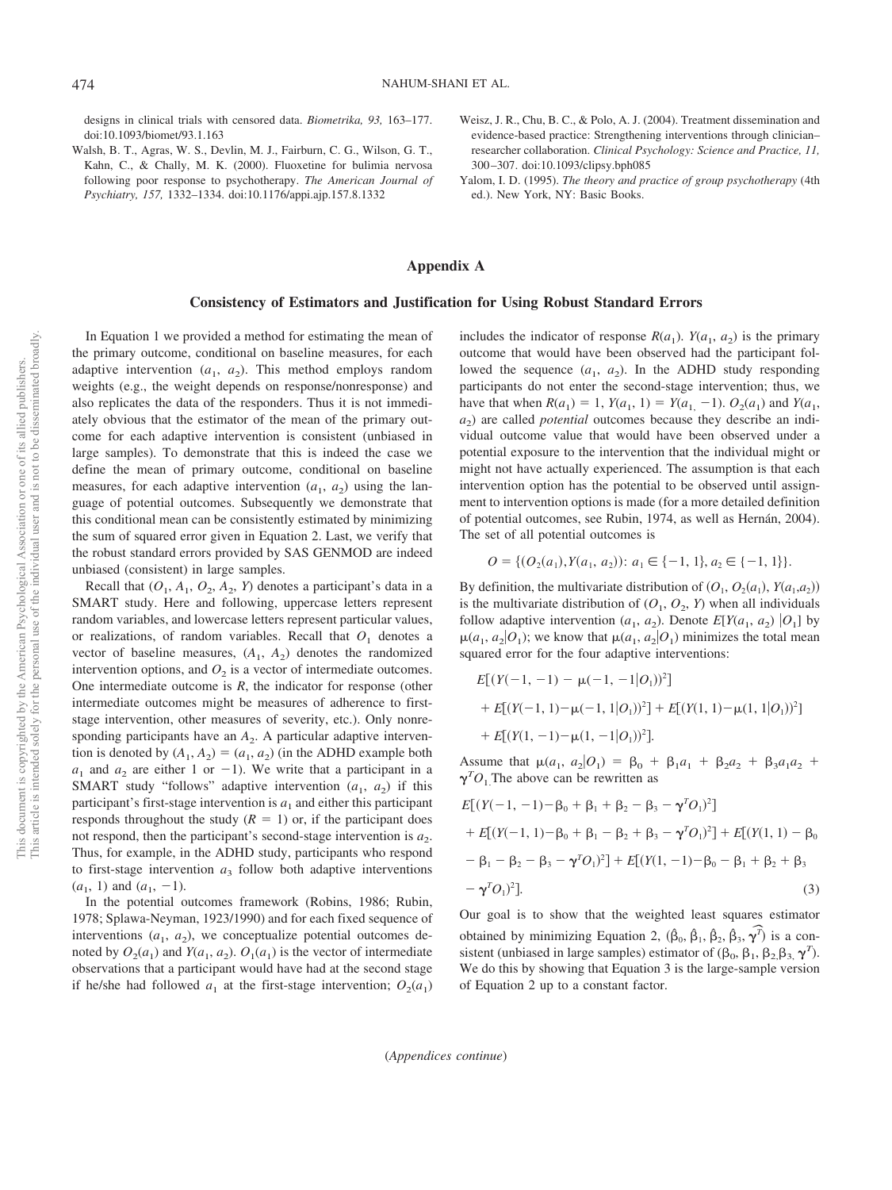designs in clinical trials with censored data. *Biometrika, 93,* 163–177. doi:10.1093/biomet/93.1.163

- Walsh, B. T., Agras, W. S., Devlin, M. J., Fairburn, C. G., Wilson, G. T., Kahn, C., & Chally, M. K. (2000). Fluoxetine for bulimia nervosa following poor response to psychotherapy. *The American Journal of Psychiatry, 157,* 1332–1334. doi:10.1176/appi.ajp.157.8.1332
- Weisz, J. R., Chu, B. C., & Polo, A. J. (2004). Treatment dissemination and evidence-based practice: Strengthening interventions through clinician– researcher collaboration. *Clinical Psychology: Science and Practice, 11,* 300 –307. doi:10.1093/clipsy.bph085
- Yalom, I. D. (1995). *The theory and practice of group psychotherapy* (4th ed.). New York, NY: Basic Books.

# **Appendix A**

## **Consistency of Estimators and Justification for Using Robust Standard Errors**

In Equation 1 we provided a method for estimating the mean of the primary outcome, conditional on baseline measures, for each adaptive intervention  $(a_1, a_2)$ . This method employs random weights (e.g., the weight depends on response/nonresponse) and also replicates the data of the responders. Thus it is not immediately obvious that the estimator of the mean of the primary outcome for each adaptive intervention is consistent (unbiased in large samples). To demonstrate that this is indeed the case we define the mean of primary outcome, conditional on baseline measures, for each adaptive intervention  $(a_1, a_2)$  using the language of potential outcomes. Subsequently we demonstrate that this conditional mean can be consistently estimated by minimizing the sum of squared error given in Equation 2. Last, we verify that the robust standard errors provided by SAS GENMOD are indeed unbiased (consistent) in large samples.

Recall that  $(O_1, A_1, O_2, A_2, Y)$  denotes a participant's data in a SMART study. Here and following, uppercase letters represent random variables, and lowercase letters represent particular values, or realizations, of random variables. Recall that  $O_1$  denotes a vector of baseline measures,  $(A_1, A_2)$  denotes the randomized intervention options, and  $O_2$  is a vector of intermediate outcomes. One intermediate outcome is *R*, the indicator for response (other intermediate outcomes might be measures of adherence to firststage intervention, other measures of severity, etc.). Only nonresponding participants have an  $A_2$ . A particular adaptive intervention is denoted by  $(A_1, A_2) = (a_1, a_2)$  (in the ADHD example both  $a_1$  and  $a_2$  are either 1 or  $-1$ ). We write that a participant in a SMART study "follows" adaptive intervention  $(a_1, a_2)$  if this participant's first-stage intervention is  $a_1$  and either this participant responds throughout the study  $(R = 1)$  or, if the participant does not respond, then the participant's second-stage intervention is  $a_2$ . Thus, for example, in the ADHD study, participants who respond to first-stage intervention  $a_3$  follow both adaptive interventions  $(a_1, 1)$  and  $(a_1, -1)$ .

In the potential outcomes framework (Robins, 1986; Rubin, 1978; Splawa-Neyman, 1923/1990) and for each fixed sequence of interventions  $(a_1, a_2)$ , we conceptualize potential outcomes denoted by  $O_2(a_1)$  and  $Y(a_1, a_2)$ .  $O_1(a_1)$  is the vector of intermediate observations that a participant would have had at the second stage if he/she had followed  $a_1$  at the first-stage intervention;  $O_2(a_1)$ 

includes the indicator of response  $R(a_1)$ .  $Y(a_1, a_2)$  is the primary outcome that would have been observed had the participant followed the sequence  $(a_1, a_2)$ . In the ADHD study responding participants do not enter the second-stage intervention; thus, we have that when  $R(a_1) = 1$ ,  $Y(a_1, 1) = Y(a_1, -1)$ .  $O_2(a_1)$  and  $Y(a_1, -1)$ . *a*2) are called *potential* outcomes because they describe an individual outcome value that would have been observed under a potential exposure to the intervention that the individual might or might not have actually experienced. The assumption is that each intervention option has the potential to be observed until assignment to intervention options is made (for a more detailed definition of potential outcomes, see Rubin, 1974, as well as Hernán, 2004). The set of all potential outcomes is

$$
O = \{ (O_2(a_1), Y(a_1, a_2)) : a_1 \in \{-1, 1\}, a_2 \in \{-1, 1\} \}.
$$

By definition, the multivariate distribution of  $(O_1, O_2(a_1), Y(a_1, a_2))$ is the multivariate distribution of  $(O_1, O_2, Y)$  when all individuals follow adaptive intervention  $(a_1, a_2)$ . Denote  $E[Y(a_1, a_2) | O_1]$  by  $\mu(a_1, a_2|O_1)$ ; we know that  $\mu(a_1, a_2|O_1)$  minimizes the total mean squared error for the four adaptive interventions:

$$
E[(Y(-1, -1) - \mu(-1, -1|O_1))^2]
$$
  
+ 
$$
E[(Y(-1, 1) - \mu(-1, 1|O_1))^2] + E[(Y(1, 1) - \mu(1, 1|O_1))^2]
$$
  
+ 
$$
E[(Y(1, -1) - \mu(1, -1|O_1))^2].
$$

Assume that  $\mu(a_1, a_2|O_1) = \beta_0 + \beta_1 a_1 + \beta_2 a_2 + \beta_3 a_1 a_2 + \beta_4 a_2 a_1 a_2$  $\gamma^T O_1$ . The above can be rewritten as

$$
E[(Y(-1, -1)-\beta_{0} + \beta_{1} + \beta_{2} - \beta_{3} - \gamma^{T}O_{1})^{2}]
$$
  
+ 
$$
E[(Y(-1, 1)-\beta_{0} + \beta_{1} - \beta_{2} + \beta_{3} - \gamma^{T}O_{1})^{2}] + E[(Y(1, 1) - \beta_{0} - \beta_{1} - \beta_{2} - \beta_{3} - \gamma^{T}O_{1})^{2}] + E[(Y(1, -1)-\beta_{0} - \beta_{1} + \beta_{2} + \beta_{3} - \gamma^{T}O_{1})^{2}].
$$
  
(3)

Our goal is to show that the weighted least squares estimator Our goal is to show that the weighted least squares estimator obtained by minimizing Equation 2,  $(\hat{\beta}_0, \hat{\beta}_1, \hat{\beta}_2, \hat{\beta}_3, \hat{\gamma}^T)$  is a consistent (unbiased in large samples) estimator of  $(\beta_0, \beta_1, \beta_2, \beta_3, \gamma^T)$ . We do this by showing that Equation 3 is the large-sample version of Equation 2 up to a constant factor.

(*Appendices continue*)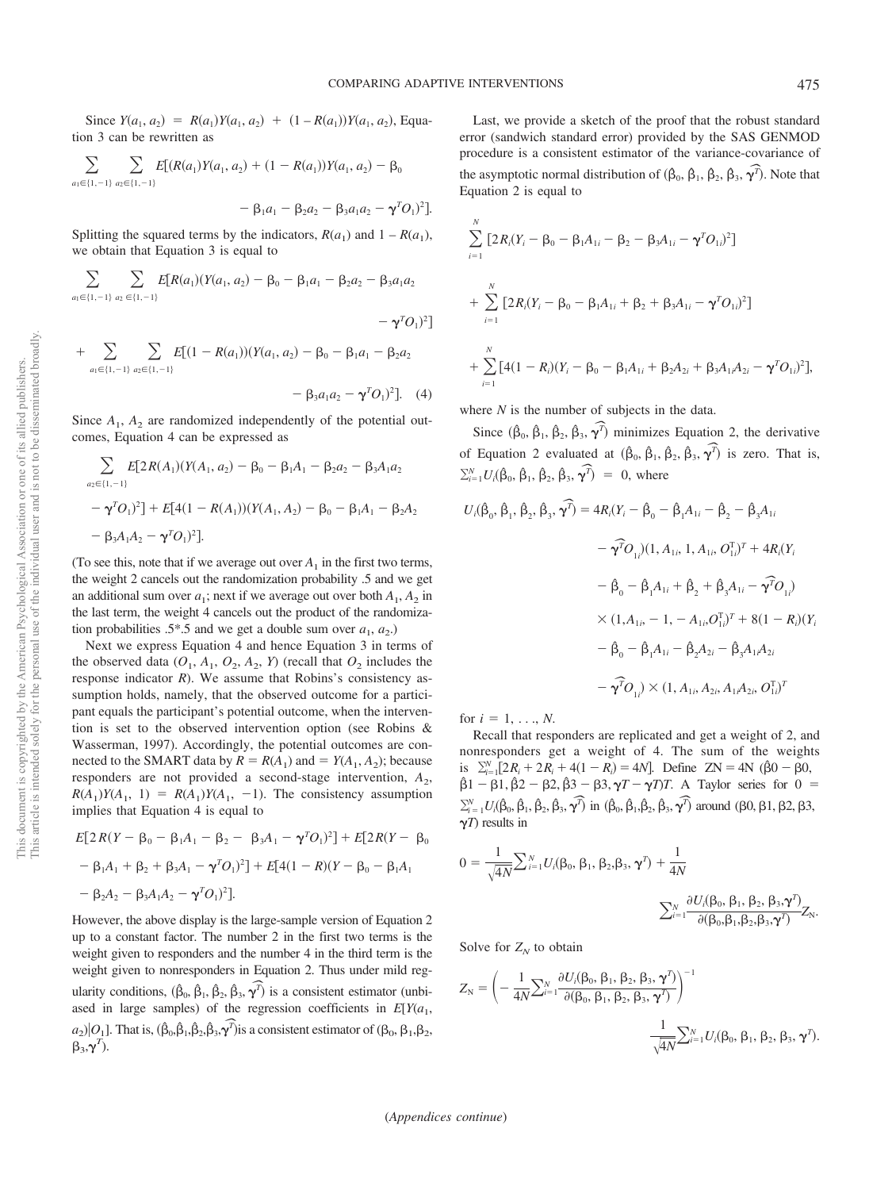Since  $Y(a_1, a_2) = R(a_1)Y(a_1, a_2) + (1 - R(a_1))Y(a_1, a_2)$ , Equation 3 can be rewritten as

$$
\sum_{a_1 \in \{1,-1\}} \sum_{a_2 \in \{1,-1\}} E[(R(a_1)Y(a_1,a_2) + (1-R(a_1))Y(a_1,a_2) - \beta_0
$$

$$
-\beta_1a_1-\beta_2a_2-\beta_3a_1a_2-\gamma^T O_1)^2].
$$

Splitting the squared terms by the indicators,  $R(a_1)$  and  $1 - R(a_1)$ , we obtain that Equation 3 is equal to

$$
\sum_{a_1 \in \{1,-1\}} \sum_{a_2 \in \{1,-1\}} E[R(a_1)(Y(a_1,a_2) - \beta_0 - \beta_1 a_1 - \beta_2 a_2 - \beta_3 a_1 a_2 - \gamma^T O_1)^2] - \gamma^T O_1)^2]
$$

+ 
$$
\sum_{a_1 \in \{1,-1\}} \sum_{a_2 \in \{1,-1\}} E[(1 - R(a_1))(Y(a_1,a_2) - \beta_0 - \beta_1 a_1 - \beta_2 a_2
$$

 $- \beta_3 a_1 a_2 - \gamma^T O_1)^2$ . (4)

Since  $A_1$ ,  $A_2$  are randomized independently of the potential outcomes, Equation 4 can be expressed as

$$
\sum_{a_2 \in \{1,-1\}} E[2R(A_1)(Y(A_1, a_2) - \beta_0 - \beta_1 A_1 - \beta_2 a_2 - \beta_3 A_1 a_2
$$
  

$$
- \gamma^T O_1)^2] + E[4(1 - R(A_1))(Y(A_1, A_2) - \beta_0 - \beta_1 A_1 - \beta_2 A_2
$$
  

$$
- \beta_3 A_1 A_2 - \gamma^T O_1)^2].
$$

(To see this, note that if we average out over  $A_1$  in the first two terms, the weight 2 cancels out the randomization probability .5 and we get an additional sum over  $a_1$ ; next if we average out over both  $A_1$ ,  $A_2$  in the last term, the weight 4 cancels out the product of the randomization probabilities .5\*.5 and we get a double sum over  $a_1$ ,  $a_2$ .)

Next we express Equation 4 and hence Equation 3 in terms of the observed data  $(O_1, A_1, O_2, A_2, Y)$  (recall that  $O_2$  includes the response indicator *R*). We assume that Robins's consistency assumption holds, namely, that the observed outcome for a participant equals the participant's potential outcome, when the intervention is set to the observed intervention option (see Robins & Wasserman, 1997). Accordingly, the potential outcomes are connected to the SMART data by  $R = R(A_1)$  and  $= Y(A_1, A_2)$ ; because responders are not provided a second-stage intervention,  $A_2$ ,  $R(A_1)Y(A_1, 1) = R(A_1)Y(A_1, -1)$ . The consistency assumption implies that Equation 4 is equal to

$$
E[2R(Y - \beta_0 - \beta_1 A_1 - \beta_2 - \beta_3 A_1 - \gamma^T O_1)^2] + E[2R(Y - \beta_0 - \beta_1 A_1 + \beta_2 + \beta_3 A_1 - \gamma^T O_1)^2] + E[4(1 - R)(Y - \beta_0 - \beta_1 A_1 - \beta_2 A_2 - \beta_3 A_1 A_2 - \gamma^T O_1)^2].
$$

However, the above display is the large-sample version of Equation 2 up to a constant factor. The number 2 in the first two terms is the weight given to responders and the number 4 in the third term is the weight given to nonresponders in Equation 2. Thus under mild regweight given to nonresponders in Equation 2. Thus under mild regularity conditions,  $(\hat{\beta}_0, \hat{\beta}_1, \hat{\beta}_2, \hat{\beta}_3, \hat{\gamma}^T)$  is a consistent estimator (unbiased in large samples) of the regression coefficients in  $E[Y(a_1, a_2])$ ased in large samples) of the regression coefficients in  $E[Y(a_1, a_2)|O_1]$ . That is,  $(\beta_0, \beta_1, \beta_2, \beta_3, \gamma^T)$  is a consistent estimator of  $(\beta_0, \beta_1, \beta_2, \beta_3, \gamma^T)$  $\beta_3, \gamma^T$ ).

Last, we provide a sketch of the proof that the robust standard error (sandwich standard error) provided by the SAS GENMOD procedure is a consistent estimator of the variance-covariance of procedure is a consistent estimator of the variance-covariance of<br>the asymptotic normal distribution of  $(\hat{\beta}_0, \hat{\beta}_1, \hat{\beta}_2, \hat{\beta}_3, \hat{\gamma}^T)$ . Note that Equation 2 is equal to

$$
\sum_{i=1}^{N} \left[ 2R_i(Y_i - \beta_0 - \beta_1 A_{1i} - \beta_2 - \beta_3 A_{1i} - \gamma^T O_{1i})^2 \right]
$$
  
+ 
$$
\sum_{i=1}^{N} \left[ 2R_i(Y_i - \beta_0 - \beta_1 A_{1i} + \beta_2 + \beta_3 A_{1i} - \gamma^T O_{1i})^2 \right]
$$
  
+ 
$$
\sum_{i=1}^{N} \left[ 4(1 - R_i)(Y_i - \beta_0 - \beta_1 A_{1i} + \beta_2 A_{2i} + \beta_3 A_{1i} A_{2i} - \gamma^T O_{1i})^2 \right],
$$

where *N* is the number of subjects in the data.<br>Since  $(\hat{\beta}_0, \hat{\beta}_1, \hat{\beta}_2, \hat{\beta}_3, \hat{\gamma}^T)$  minimizes Equation Since  $(\hat{\beta}_0, \hat{\beta}_1, \hat{\beta}_2, \hat{\beta}_3, \gamma^T)$  minimizes Equation 2, the derivative Since  $(\hat{\beta}_0, \hat{\beta}_1, \hat{\beta}_2, \hat{\beta}_3, \hat{\gamma}^T)$  minimizes Equation 2, the derivative of Equation 2 evaluated at  $(\hat{\beta}_0, \hat{\beta}_1, \hat{\beta}_2, \hat{\beta}_3, \hat{\gamma}^T)$  is zero. That is, of Equation 2 evaluated at  $(\hat{\beta}_0, \hat{\beta}_1, \hat{\beta}_2)$ <br>  $\sum_{i=1}^{N} U_i(\hat{\beta}_0, \hat{\beta}_1, \hat{\beta}_2, \hat{\beta}_3, \hat{\gamma}^T) = 0$ , where

$$
U_{i}(\hat{\beta}_{0}, \hat{\beta}_{1}, \hat{\beta}_{2}, \hat{\beta}_{3}, \hat{\gamma}^{T}) = 4R_{i}(Y_{i} - \hat{\beta}_{0} - \hat{\beta}_{1}A_{1i} - \hat{\beta}_{2} - \hat{\beta}_{3}A_{1i}
$$
  

$$
- \hat{\gamma}^{T}O_{1i})(1, A_{1i}, 1, A_{1i}, O_{1i}^{T})^{T} + 4R_{i}(Y_{i}
$$
  

$$
- \hat{\beta}_{0} - \hat{\beta}_{1}A_{1i} + \hat{\beta}_{2} + \hat{\beta}_{3}A_{1i} - \hat{\gamma}^{T}O_{1i})
$$
  

$$
\times (1, A_{1i}, -1, -A_{1i}, O_{1i}^{T})^{T} + 8(1 - R_{i})(Y_{i}
$$
  

$$
- \hat{\beta}_{0} - \hat{\beta}_{1}A_{1i} - \hat{\beta}_{2}A_{2i} - \hat{\beta}_{3}A_{1}A_{2i}
$$
  

$$
- \hat{\gamma}^{T}O_{1i}) \times (1, A_{1i}, A_{2i}, A_{1}A_{2i}, O_{1i}^{T})^{T}
$$

for  $i = 1, ..., N$ .

Recall that responders are replicated and get a weight of 2, and nonresponders get a weight of 4. The sum of the weights is  $\sum_{i=1}^{N} [2R_i + 2R_i + 4(1 - R_i) = 4N]$ . Define  $ZN = 4N$  ( $\hat{\beta}0 - \beta0$ ,  $\hat{\beta}_1 - \beta_1, \hat{\beta}_2 - \beta_2, \hat{\beta}_3 - \beta_3, \gamma_T - \gamma_T$ . A Taylor series for  $0 = \sum_{i=1}^{\infty} U_i(\hat{\beta}_0, \hat{\beta}_1, \hat{\beta}_2, \hat{\beta}_3, \gamma_T$  in  $(\hat{\beta}_0, \hat{\beta}_1, \hat{\beta}_2, \hat{\beta}_3, \gamma_T)$  around  $(\beta_0, \beta_1, \beta_2, \beta_3, \gamma_T)$  $\sum_{i=1}^{N} U_i(\hat{\beta}_0, \hat{\beta}_1, \hat{\beta}_2, \hat{\beta}_3, \hat{\gamma}^T)$  in  $(\hat{\beta}_0, \hat{\beta}_1, \hat{\beta}_2, \hat{\beta}_3, \hat{\gamma}^T)$  around  $(\beta 0, \beta 1, \beta 2, \beta 3, \gamma^T)$  $\gamma T$ ) results in

$$
0 = \frac{1}{\sqrt{4N}} \sum_{i=1}^{N} U_i(\beta_0, \beta_1, \beta_2, \beta_3, \gamma^T) + \frac{1}{4N}
$$

$$
\sum_{i=1}^{N} \frac{\partial U_i(\beta_0, \beta_1, \beta_2, \beta_3, \gamma^T)}{\partial(\beta_0, \beta_1, \beta_2, \beta_3, \gamma^T)} Z_N.
$$

Solve for  $Z_N$  to obtain

$$
Z_{\rm N} = \left(-\frac{1}{4N} \sum_{i=1}^{N} \frac{\partial U_i(\beta_0, \beta_1, \beta_2, \beta_3, \gamma^T)}{\partial(\beta_0, \beta_1, \beta_2, \beta_3, \gamma^T)}\right)^{-1} \frac{1}{\sqrt{4N}} \sum_{i=1}^{N} U_i(\beta_0, \beta_1, \beta_2, \beta_3, \gamma^T).
$$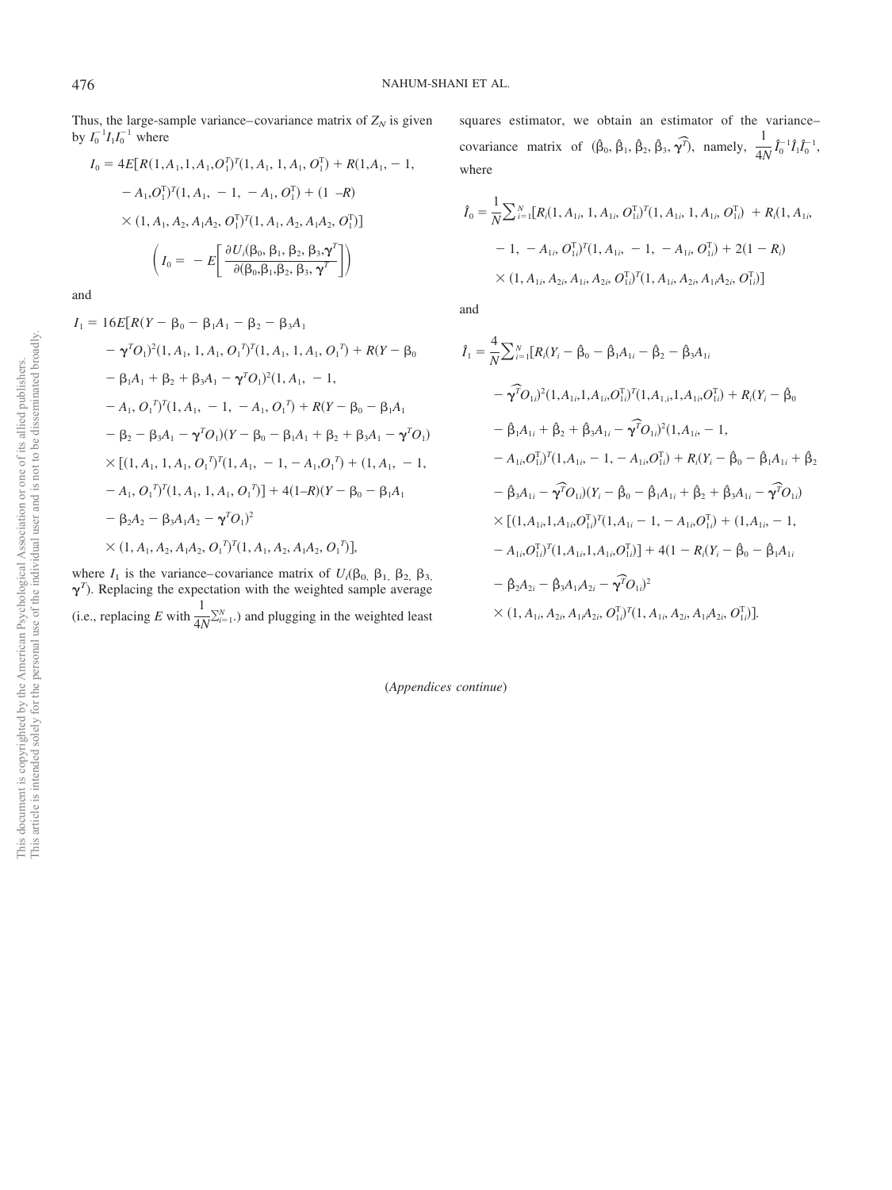Thus, the large-sample variance–covariance matrix of  $Z_N$  is given by  $I_0^{-1}I_1I_0^{-1}$  where

$$
I_0 = 4E[R(1, A_1, 1, A_1, O_1^T)^T(1, A_1, 1, A_1, O_1^T) + R(1, A_1, -1, -A_1, O_1^T)^T(1, A_1, -1, -A_1, O_1^T) + (1 - R)
$$
  
× (1, A\_1, A\_2, A\_1A\_2, O\_1^T)^T(1, A\_1, A\_2, A\_1A\_2, O\_1^T)]  

$$
\left(I_0 = -E\left[\frac{\partial U_i(\beta_0, \beta_1, \beta_2, \beta_3, \gamma^T)}{\partial(\beta_0, \beta_1, \beta_2, \beta_3, \gamma^T)}\right]\right)
$$

and

$$
I_{1} = 16E[R(Y - \beta_{0} - \beta_{1}A_{1} - \beta_{2} - \beta_{3}A_{1}\n- \gamma^{T}O_{1})^{2}(1, A_{1}, 1, A_{1}, O_{1}^{T})^{T}(1, A_{1}, 1, A_{1}, O_{1}^{T}) + R(Y - \beta_{0}\n- \beta_{1}A_{1} + \beta_{2} + \beta_{3}A_{1} - \gamma^{T}O_{1})^{2}(1, A_{1}, -1,\n- A_{1}, O_{1}^{T})^{T}(1, A_{1}, -1, - A_{1}, O_{1}^{T}) + R(Y - \beta_{0} - \beta_{1}A_{1}\n- \beta_{2} - \beta_{3}A_{1} - \gamma^{T}O_{1})(Y - \beta_{0} - \beta_{1}A_{1} + \beta_{2} + \beta_{3}A_{1} - \gamma^{T}O_{1})\n\times [(1, A_{1}, 1, A_{1}, O_{1}^{T})^{T}(1, A_{1}, -1, -A_{1}, O_{1}^{T}) + (1, A_{1}, -1,\n- A_{1}, O_{1}^{T})^{T}(1, A_{1}, 1, A_{1}, O_{1}^{T})] + 4(1-R)(Y - \beta_{0} - \beta_{1}A_{1}\n- \beta_{2}A_{2} - \beta_{3}A_{1}A_{2} - \gamma^{T}O_{1})^{2}\n\times (1, A_{1}, A_{2}, A_{1}A_{2}, O_{1}^{T})^{T}(1, A_{1}, A_{2}, A_{1}A_{2}, O_{1}^{T})],
$$

where  $I_1$  is the variance–covariance matrix of  $U_i(\beta_0, \beta_1, \beta_2, \beta_3)$  $\gamma^T$ ). Replacing the expectation with the weighted sample average (i.e., replacing *E* with  $\frac{1}{4N} \sum_{i=1}^{N}$ .) and plugging in the weighted least squares estimator, we obtain an estimator of the variance– squares estimator, we obtain an estimator of the variance-<br>covariance matrix of  $(\beta_0, \beta_1, \beta_2, \beta_3, \hat{\gamma_1})$ , namely,  $\frac{1}{4N} \hat{I}_0^{-1} \hat{I}_1 \hat{I}_0^{-1}$ , where

$$
\hat{I}_0 = \frac{1}{N} \sum_{i=1}^N [R_i(1, A_{1i}, 1, A_{1i}, O_{1i}^T)^T (1, A_{1i}, 1, A_{1i}, O_{1i}^T) + R_i(1, A_{1i}, 1, A_{1i}, O_{1i}^T) + R_i(1, A_{1i}, 1, A_{1i}, O_{1i}^T) + R_i(1, A_{1i}, O_{1i}^T)^T (1, A_{1i}, -1, -A_{1i}, O_{1i}^T) + 2(1 - R_i)
$$
  
×  $(1, A_{1i}, A_{2i}, A_{1i}, A_{2i}, O_{1i}^T)^T (1, A_{1i}, A_{2i}, A_{1i}A_{2i}, O_{1i}^T)]$ 

and

$$
\hat{I}_{1} = \frac{4}{N} \sum_{i=1}^{N} [R_{i}(Y_{i} - \hat{\beta}_{0} - \hat{\beta}_{1}A_{1i} - \hat{\beta}_{2} - \hat{\beta}_{3}A_{1i} \n- \hat{\gamma}^{T} O_{1i})^{2} (1, A_{1i}, 1, A_{1i}, O_{1i}^{T})^{T} (1, A_{1,i}, 1, A_{1i}, O_{1i}^{T}) + R_{i}(Y_{i} - \hat{\beta}_{0} \n- \hat{\beta}_{1}A_{1i} + \hat{\beta}_{2} + \hat{\beta}_{3}A_{1i} - \hat{\gamma}^{T} O_{1i})^{2} (1, A_{1i}, -1, \n- A_{1i}, O_{1i}^{T})^{T} (1, A_{1i}, -1, - A_{1i}, O_{1i}^{T}) + R_{i}(Y_{i} - \hat{\beta}_{0} - \hat{\beta}_{1}A_{1i} + \hat{\beta}_{2} \n- \hat{\beta}_{3}A_{1i} - \hat{\gamma}^{T} O_{1i}) (Y_{i} - \hat{\beta}_{0} - \hat{\beta}_{1}A_{1i} + \hat{\beta}_{2} + \hat{\beta}_{3}A_{1i} - \hat{\gamma}^{T} O_{1i}) \n\times [(1, A_{1i}, 1, A_{1i}, O_{1i}^{T})^{T} (1, A_{1i} - 1, - A_{1i}, O_{1i}^{T}) + (1, A_{1i}, -1, \n- A_{1i}, O_{1i}^{T})^{T} (1, A_{1i}, 1, A_{1i}, O_{1i}^{T})] + 4(1 - R_{i}(Y_{i} - \hat{\beta}_{0} - \hat{\beta}_{1}A_{1i} \n- \hat{\beta}_{2}A_{2i} - \hat{\beta}_{3}A_{1i}A_{2i} - \hat{\gamma}^{T} O_{1i})^{2} \n\times (1, A_{1i}, A_{2i}, A_{1i}A_{2i}, O_{1i}^{T})^{T} (1, A_{1i}, A_{2i}, A_{1i}A_{2i}, O_{1i}^{T})].
$$

(*Appendices continue*)